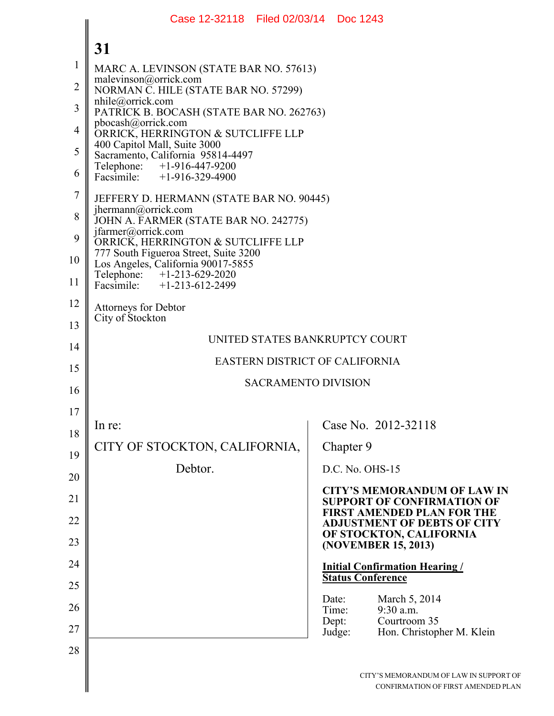|                | Case 12-32118 Filed 02/03/14 Doc 1243                                                             |                                                                            |  |
|----------------|---------------------------------------------------------------------------------------------------|----------------------------------------------------------------------------|--|
|                | 31                                                                                                |                                                                            |  |
| $\mathbf{1}$   | MARC A. LEVINSON (STATE BAR NO. 57613)                                                            |                                                                            |  |
| $\overline{2}$ | malevinson@orrick.com<br>NORMAN C. HILE (STATE BAR NO. 57299)                                     |                                                                            |  |
| $\overline{3}$ | $n$ hile@orrick.com<br>PATRICK B. BOCASH (STATE BAR NO. 262763)                                   |                                                                            |  |
| $\overline{4}$ | pbocash@orrick.com<br>ORRICK, HERRINGTON & SUTCLIFFE LLP                                          |                                                                            |  |
| 5              | 400 Capitol Mall, Suite 3000<br>Sacramento, California 95814-4497                                 |                                                                            |  |
| 6              | Telephone: +1-916-447-9200<br>Facsimile: +1-916-329-4900                                          |                                                                            |  |
| $\overline{7}$ | JEFFERY D. HERMANN (STATE BAR NO. 90445)<br>$j$ hermann@orrick.com                                |                                                                            |  |
| 8              | JOHN A. FARMER (STATE BAR NO. 242775)                                                             |                                                                            |  |
| 9              | jfarmer@orrick.com<br>ORRICK, HERRINGTON & SUTCLIFFE LLP<br>777 South Figueroa Street, Suite 3200 |                                                                            |  |
| 10             | Los Angeles, California 90017-5855                                                                |                                                                            |  |
| 11             | Telephone: +1-213-629-2020<br>Facsimile: +1-213-612-2499                                          |                                                                            |  |
| 12<br>13       | <b>Attorneys for Debtor</b><br>City of Stockton                                                   |                                                                            |  |
| 14             |                                                                                                   | UNITED STATES BANKRUPTCY COURT                                             |  |
| 15             |                                                                                                   | EASTERN DISTRICT OF CALIFORNIA                                             |  |
| 16             | <b>SACRAMENTO DIVISION</b>                                                                        |                                                                            |  |
| 17             |                                                                                                   |                                                                            |  |
| 18             | In re:                                                                                            | Case No. 2012-32118                                                        |  |
| 19             | CITY OF STOCKTON, CALIFORNIA,                                                                     | Chapter 9                                                                  |  |
| 20             | Debtor.                                                                                           | D.C. No. OHS-15                                                            |  |
| 21             |                                                                                                   | <b>CITY'S MEMORANDUM OF LAW IN</b><br><b>SUPPORT OF CONFIRMATION OF</b>    |  |
| 22             |                                                                                                   | <b>FIRST AMENDED PLAN FOR THE</b><br><b>ADJUSTMENT OF DEBTS OF CITY</b>    |  |
| 23             |                                                                                                   | OF STOCKTON, CALIFORNIA<br>(NOVEMBER 15, 2013)                             |  |
| 24             |                                                                                                   | <b>Initial Confirmation Hearing /</b>                                      |  |
| 25             |                                                                                                   | <b>Status Conference</b>                                                   |  |
| 26             |                                                                                                   | March 5, 2014<br>Date:<br>9:30 a.m.<br>Time:                               |  |
| 27             |                                                                                                   | Courtroom 35<br>Dept:<br>Hon. Christopher M. Klein<br>Judge:               |  |
| 28             |                                                                                                   |                                                                            |  |
|                |                                                                                                   | CITY'S MEMORANDUM OF LAW IN SUPPORT O<br>CONFIRMATION OF FIRST AMENDED PLA |  |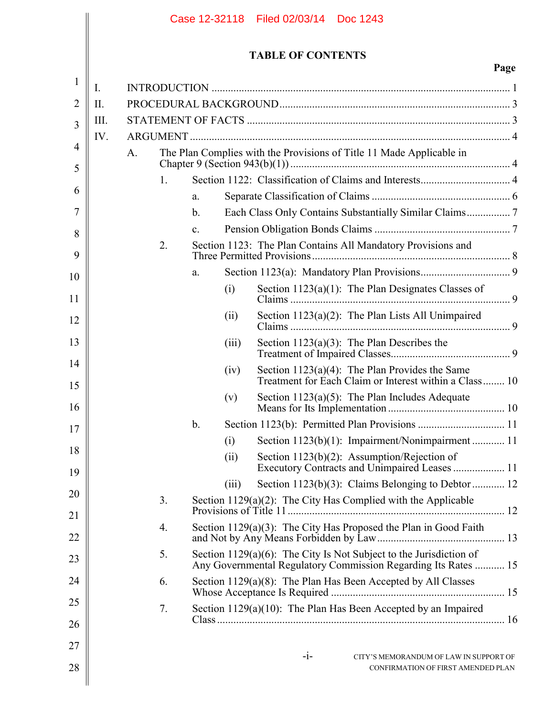|                |           |         |                |       | Case 12-32118 Filed 02/03/14 Doc 1243                                                                                                |      |
|----------------|-----------|---------|----------------|-------|--------------------------------------------------------------------------------------------------------------------------------------|------|
|                |           |         |                |       | <b>TABLE OF CONTENTS</b>                                                                                                             | Page |
| 1              | I.        |         |                |       |                                                                                                                                      |      |
| $\overline{2}$ | $\prod$ . |         |                |       |                                                                                                                                      |      |
| 3              | III.      |         |                |       |                                                                                                                                      |      |
|                | IV.       |         |                |       |                                                                                                                                      |      |
| $\overline{4}$ |           | A.      |                |       | The Plan Complies with the Provisions of Title 11 Made Applicable in                                                                 |      |
| 5              |           | $1_{-}$ |                |       |                                                                                                                                      |      |
| 6              |           |         | a.             |       |                                                                                                                                      |      |
| 7              |           |         | $\mathbf{b}$ . |       |                                                                                                                                      |      |
| 8              |           |         | $\mathbf{c}$ . |       |                                                                                                                                      |      |
| 9              |           | 2.      |                |       | Section 1123: The Plan Contains All Mandatory Provisions and                                                                         |      |
| 10             |           |         | a.             |       |                                                                                                                                      |      |
| 11             |           |         |                | (i)   | Section 1123(a)(1): The Plan Designates Classes of                                                                                   |      |
| 12             |           |         |                | (ii)  | Section $1123(a)(2)$ : The Plan Lists All Unimpaired                                                                                 |      |
| 13             |           |         |                | (iii) | Section 1123(a)(3): The Plan Describes the                                                                                           |      |
| 14<br>15       |           |         |                | (iv)  | Section $1123(a)(4)$ : The Plan Provides the Same<br>Treatment for Each Claim or Interest within a Class 10                          |      |
| 16             |           |         |                | (v)   | Section $1123(a)(5)$ : The Plan Includes Adequate                                                                                    |      |
| 17             |           |         | $\mathbf b$ .  |       |                                                                                                                                      |      |
| 18             |           |         |                | (i)   | Section 1123(b)(1): Impairment/Nonimpairment  11                                                                                     |      |
| 19             |           |         |                | (ii)  | Section 1123(b)(2): Assumption/Rejection of<br>Executory Contracts and Unimpaired Leases  11                                         |      |
| 20             |           |         |                | (iii) | Section 1123(b)(3): Claims Belonging to Debtor  12                                                                                   |      |
| 21             |           | 3.      |                |       | Section $1129(a)(2)$ : The City Has Complied with the Applicable                                                                     |      |
| 22             |           | 4.      |                |       | Section $1129(a)(3)$ : The City Has Proposed the Plan in Good Faith                                                                  |      |
| 23             |           | 5.      |                |       | Section 1129(a)(6): The City Is Not Subject to the Jurisdiction of<br>Any Governmental Regulatory Commission Regarding Its Rates  15 |      |
| 24             |           | 6.      |                |       | Section $1129(a)(8)$ : The Plan Has Been Accepted by All Classes                                                                     |      |
| 25<br>26       |           | 7.      |                |       | Section 1129(a)(10): The Plan Has Been Accepted by an Impaired                                                                       |      |
| 27             |           |         |                |       |                                                                                                                                      |      |
| 28             |           |         |                |       | $-i-$<br>CITY'S MEMORANDUM OF LAW IN SUPPORT OF<br>CONFIRMATION OF FIRST AMENDED PLAN                                                |      |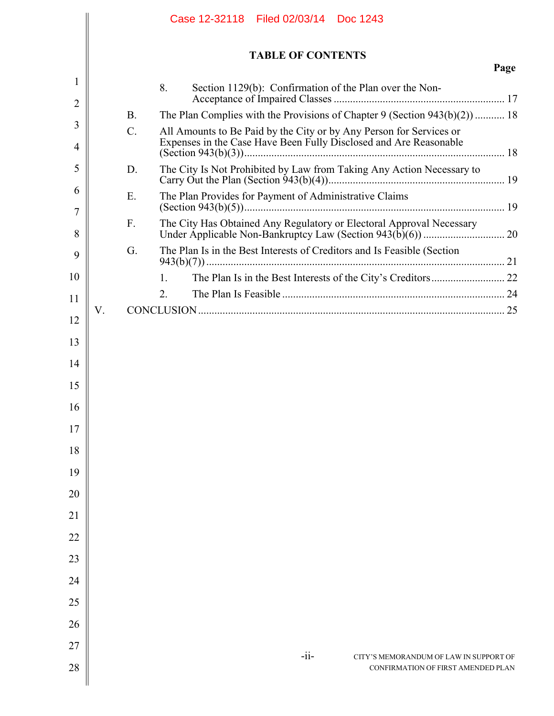|                |    |                 | Case 12-32118 Filed 02/03/14 Doc 1243                                                                                                    |  |
|----------------|----|-----------------|------------------------------------------------------------------------------------------------------------------------------------------|--|
|                |    |                 | <b>TABLE OF CONTENTS</b><br>Page                                                                                                         |  |
| 1              |    |                 | 8.<br>Section 1129(b): Confirmation of the Plan over the Non-                                                                            |  |
| $\overline{2}$ |    | <b>B</b> .      | The Plan Complies with the Provisions of Chapter 9 (Section $943(b)(2)$ )  18                                                            |  |
| 3<br>4         |    | $\mathcal{C}$ . | All Amounts to Be Paid by the City or by Any Person for Services or<br>Expenses in the Case Have Been Fully Disclosed and Are Reasonable |  |
| 5              |    | D.              | The City Is Not Prohibited by Law from Taking Any Action Necessary to                                                                    |  |
| 6<br>7         |    | E.              | The Plan Provides for Payment of Administrative Claims                                                                                   |  |
| 8              |    | F.              | The City Has Obtained Any Regulatory or Electoral Approval Necessary                                                                     |  |
| 9              |    | G.              | The Plan Is in the Best Interests of Creditors and Is Feasible (Section                                                                  |  |
| 10             |    |                 | 1.                                                                                                                                       |  |
| 11             |    |                 | 2.                                                                                                                                       |  |
| 12             | V. |                 |                                                                                                                                          |  |
| 13             |    |                 |                                                                                                                                          |  |
| 14             |    |                 |                                                                                                                                          |  |
| 15             |    |                 |                                                                                                                                          |  |
| 16             |    |                 |                                                                                                                                          |  |
| 17             |    |                 |                                                                                                                                          |  |
| 18             |    |                 |                                                                                                                                          |  |
| 19             |    |                 |                                                                                                                                          |  |
| 20             |    |                 |                                                                                                                                          |  |
| 21             |    |                 |                                                                                                                                          |  |
| 22             |    |                 |                                                                                                                                          |  |
| 23             |    |                 |                                                                                                                                          |  |
| 24             |    |                 |                                                                                                                                          |  |
| 25             |    |                 |                                                                                                                                          |  |
| 26             |    |                 |                                                                                                                                          |  |
| 27             |    |                 |                                                                                                                                          |  |
| 28             |    |                 | $-i$ i-<br>CITY'S MEMORANDUM OF LAW IN SUPPORT OF<br>CONFIRMATION OF FIRST AMENDED PLAN                                                  |  |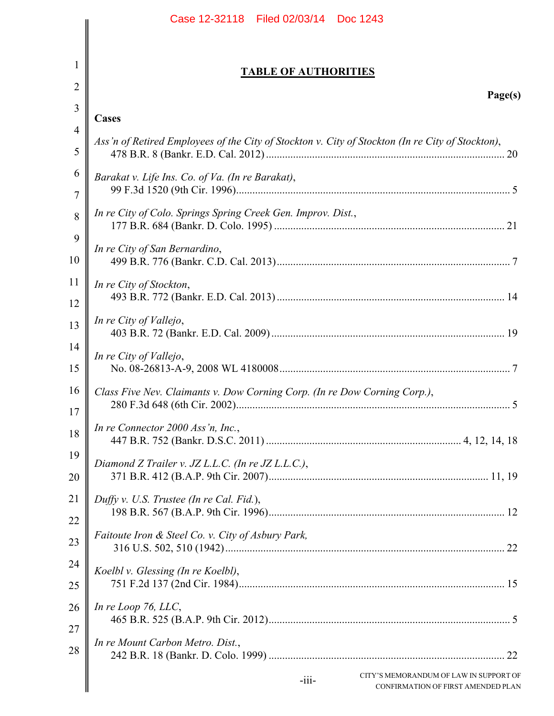|                | Case 12-32118 Filed 02/03/14 Doc 1243                                                            |
|----------------|--------------------------------------------------------------------------------------------------|
|                |                                                                                                  |
| 1              | <b>TABLE OF AUTHORITIES</b>                                                                      |
| $\overline{2}$ | Page(s)                                                                                          |
| 3              | Cases                                                                                            |
| $\overline{4}$ | Ass'n of Retired Employees of the City of Stockton v. City of Stockton (In re City of Stockton), |
| 5              |                                                                                                  |
| 6<br>7         | Barakat v. Life Ins. Co. of Va. (In re Barakat),                                                 |
| 8              | In re City of Colo. Springs Spring Creek Gen. Improv. Dist.,                                     |
| 9<br>10        | In re City of San Bernardino,                                                                    |
| 11<br>12       | In re City of Stockton,                                                                          |
| 13             | In re City of Vallejo,                                                                           |
| 14<br>15       | In re City of Vallejo,                                                                           |
| 16<br>17       | Class Five Nev. Claimants v. Dow Corning Corp. (In re Dow Corning Corp.),                        |
| 18             | In re Connector 2000 Ass'n, Inc.,                                                                |
| 19<br>20       | Diamond Z Trailer v. JZ L.L.C. (In re JZ L.L.C.),                                                |
| 21<br>22       | Duffy v. U.S. Trustee (In re Cal. Fid.),                                                         |
| 23             | Faitoute Iron & Steel Co. v. City of Asbury Park,                                                |
| 24             | Koelbl v. Glessing (In re Koelbl),                                                               |
| 25             |                                                                                                  |
| 26<br>27       | In re Loop 76, $LLC$ ,                                                                           |
| 28             | In re Mount Carbon Metro. Dist.,                                                                 |
|                | CITY'S MEMORANDUM OF LAW IN SUPPORT OF<br>$-iii-$<br>CONFIRMATION OF FIRST AMENDED PLAN          |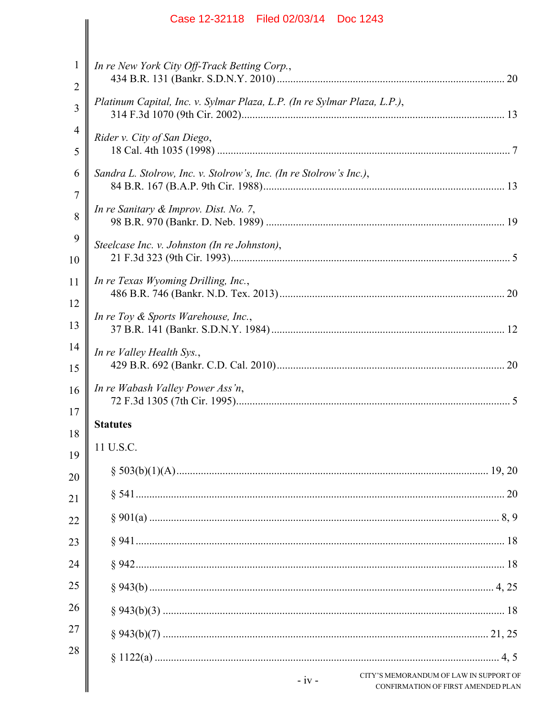|          | Case 12-32118 Filed 02/03/14 Doc 1243                                                          |
|----------|------------------------------------------------------------------------------------------------|
| 1        |                                                                                                |
| 2        | In re New York City Off-Track Betting Corp.,                                                   |
| 3        | Platinum Capital, Inc. v. Sylmar Plaza, L.P. (In re Sylmar Plaza, L.P.),                       |
| 4<br>5   | Rider v. City of San Diego,                                                                    |
| 6        | Sandra L. Stolrow, Inc. v. Stolrow's, Inc. (In re Stolrow's Inc.),                             |
| 7<br>8   | In re Sanitary & Improv. Dist. No. 7,                                                          |
| 9<br>10  | Steelcase Inc. v. Johnston (In re Johnston),                                                   |
| 11       | In re Texas Wyoming Drilling, Inc.,                                                            |
| 12<br>13 | In re Toy & Sports Warehouse, Inc.,                                                            |
| 14       | In re Valley Health Sys.,                                                                      |
| 15       |                                                                                                |
| 16<br>17 | In re Wabash Valley Power Ass'n,                                                               |
| 18       | <b>Statutes</b>                                                                                |
| 19       | 11 U.S.C.                                                                                      |
| 20       |                                                                                                |
| 21       |                                                                                                |
| 22       |                                                                                                |
| 23       |                                                                                                |
| 24       |                                                                                                |
| 25       |                                                                                                |
| 26       |                                                                                                |
| 27       |                                                                                                |
| 28       |                                                                                                |
|          | CITY'S MEMORANDUM OF LAW IN SUPPORT OF<br>$-iv -$<br><b>CONFIRMATION OF FIRST AMENDED PLAN</b> |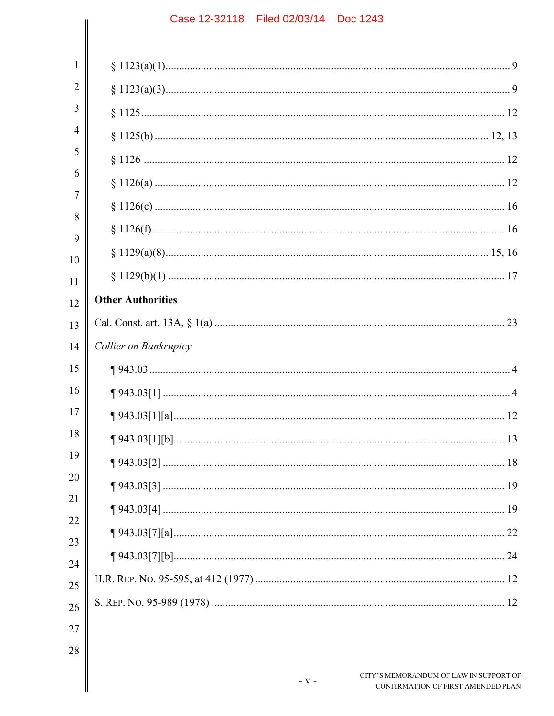| 1              |                          |                                                                              |
|----------------|--------------------------|------------------------------------------------------------------------------|
| $\overline{2}$ |                          |                                                                              |
| 3              |                          |                                                                              |
| 4              |                          |                                                                              |
| 5              |                          |                                                                              |
| 6              |                          |                                                                              |
| 7              |                          |                                                                              |
| 8              |                          |                                                                              |
| 9<br>10        |                          |                                                                              |
| 11             |                          |                                                                              |
| 12             | <b>Other Authorities</b> |                                                                              |
| 13             |                          |                                                                              |
| 14             | Collier on Bankruptcy    |                                                                              |
| 15             |                          |                                                                              |
| 16             |                          |                                                                              |
| 17             |                          |                                                                              |
| 18             |                          |                                                                              |
| 19             |                          |                                                                              |
| 20             |                          |                                                                              |
| 21             |                          |                                                                              |
| 22             |                          |                                                                              |
| 23             |                          |                                                                              |
| 24<br>25       |                          |                                                                              |
| 26             |                          |                                                                              |
| 27             |                          |                                                                              |
| 28             |                          |                                                                              |
|                | $-V -$                   | CITY'S MEMORANDUM OF LAW IN SUPPORT OF<br>CONFIRMATION OF FIRST AMENDED PLAN |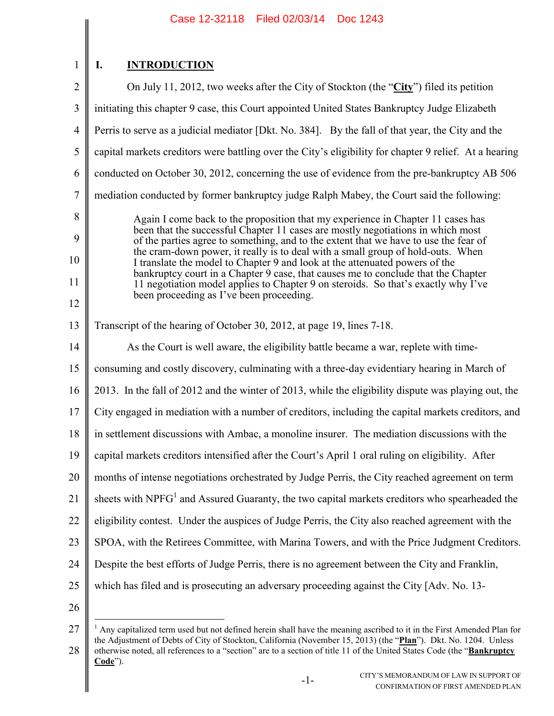1

## **I. INTRODUCTION**

2 3 4 5 6 7 8 9 10 11 12 13 14 15 16 17 18 19 20 21 22 23 24 25 26 On July 11, 2012, two weeks after the City of Stockton (the "**City**") filed its petition initiating this chapter 9 case, this Court appointed United States Bankruptcy Judge Elizabeth Perris to serve as a judicial mediator [Dkt. No. 384]. By the fall of that year, the City and the capital markets creditors were battling over the City's eligibility for chapter 9 relief. At a hearing conducted on October 30, 2012, concerning the use of evidence from the pre-bankruptcy AB 506 mediation conducted by former bankruptcy judge Ralph Mabey, the Court said the following: Again I come back to the proposition that my experience in Chapter 11 cases has been that the successful Chapter 11 cases are mostly negotiations in which most of the parties agree to something, and to the extent that we have to use the fear of the cram-down power, it really is to deal with a small group of hold-outs. When I translate the model to Chapter 9 and look at the attenuated powers of the bankruptcy court in a Chapter 9 case, that causes me to conclude that the Chapter 11 negotiation model applies to Chapter 9 on steroids. So that's exactly why I've been proceeding as I've been proceeding. Transcript of the hearing of October 30, 2012, at page 19, lines 7-18. As the Court is well aware, the eligibility battle became a war, replete with timeconsuming and costly discovery, culminating with a three-day evidentiary hearing in March of 2013. In the fall of 2012 and the winter of 2013, while the eligibility dispute was playing out, the City engaged in mediation with a number of creditors, including the capital markets creditors, and in settlement discussions with Ambac, a monoline insurer. The mediation discussions with the capital markets creditors intensified after the Court's April 1 oral ruling on eligibility. After months of intense negotiations orchestrated by Judge Perris, the City reached agreement on term sheets with NPFG<sup>1</sup> and Assured Guaranty, the two capital markets creditors who spearheaded the eligibility contest. Under the auspices of Judge Perris, the City also reached agreement with the SPOA, with the Retirees Committee, with Marina Towers, and with the Price Judgment Creditors. Despite the best efforts of Judge Perris, there is no agreement between the City and Franklin, which has filed and is prosecuting an adversary proceeding against the City [Adv. No. 13-

<sup>27</sup> 28  $\overline{a}$  $<sup>1</sup>$  Any capitalized term used but not defined herein shall have the meaning ascribed to it in the First Amended Plan for</sup> the Adjustment of Debts of City of Stockton, California (November 15, 2013) (the "**Plan**"). Dkt. No. 1204. Unless otherwise noted, all references to a "section" are to a section of title 11 of the United States Code (the "**Bankruptcy Code**").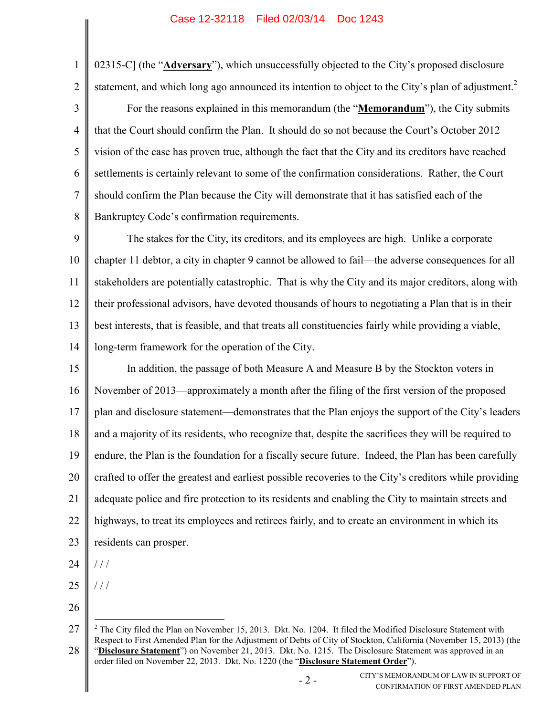1 2 3 4 5 6 7 8 02315-C] (the "**Adversary**"), which unsuccessfully objected to the City's proposed disclosure statement, and which long ago announced its intention to object to the City's plan of adjustment.<sup>2</sup> For the reasons explained in this memorandum (the "**Memorandum**"), the City submits that the Court should confirm the Plan. It should do so not because the Court's October 2012 vision of the case has proven true, although the fact that the City and its creditors have reached settlements is certainly relevant to some of the confirmation considerations. Rather, the Court should confirm the Plan because the City will demonstrate that it has satisfied each of the Bankruptcy Code's confirmation requirements.

9 10 11 12 13 14 The stakes for the City, its creditors, and its employees are high. Unlike a corporate chapter 11 debtor, a city in chapter 9 cannot be allowed to fail—the adverse consequences for all stakeholders are potentially catastrophic. That is why the City and its major creditors, along with their professional advisors, have devoted thousands of hours to negotiating a Plan that is in their best interests, that is feasible, and that treats all constituencies fairly while providing a viable, long-term framework for the operation of the City.

15 16 17 18 19 20 21 22 23 In addition, the passage of both Measure A and Measure B by the Stockton voters in November of 2013—approximately a month after the filing of the first version of the proposed plan and disclosure statement—demonstrates that the Plan enjoys the support of the City's leaders and a majority of its residents, who recognize that, despite the sacrifices they will be required to endure, the Plan is the foundation for a fiscally secure future. Indeed, the Plan has been carefully crafted to offer the greatest and earliest possible recoveries to the City's creditors while providing adequate police and fire protection to its residents and enabling the City to maintain streets and highways, to treat its employees and retirees fairly, and to create an environment in which its residents can prosper.

- 24 / / /
- 25 / / /

 $\overline{a}$ 

<sup>27</sup> 28  $2$  The City filed the Plan on November 15, 2013. Dkt. No. 1204. It filed the Modified Disclosure Statement with Respect to First Amended Plan for the Adjustment of Debts of City of Stockton, California (November 15, 2013) (the "**Disclosure Statement**") on November 21, 2013. Dkt. No. 1215. The Disclosure Statement was approved in an order filed on November 22, 2013. Dkt. No. 1220 (the "**Disclosure Statement Order**").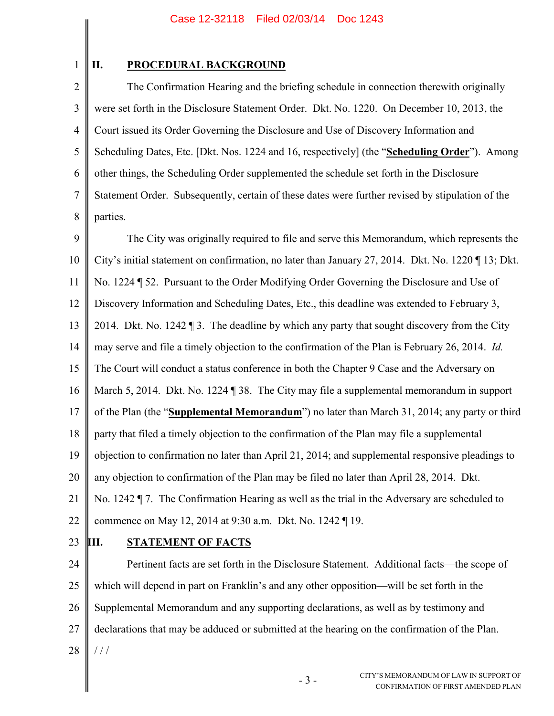### **II. PROCEDURAL BACKGROUND**

2 3 4 5 6 7 8 The Confirmation Hearing and the briefing schedule in connection therewith originally were set forth in the Disclosure Statement Order. Dkt. No. 1220. On December 10, 2013, the Court issued its Order Governing the Disclosure and Use of Discovery Information and Scheduling Dates, Etc. [Dkt. Nos. 1224 and 16, respectively] (the "**Scheduling Order**"). Among other things, the Scheduling Order supplemented the schedule set forth in the Disclosure Statement Order. Subsequently, certain of these dates were further revised by stipulation of the parties.

9 10 11 12 13 14 15 16 17 18 19 20 21 22 The City was originally required to file and serve this Memorandum, which represents the City's initial statement on confirmation, no later than January 27, 2014. Dkt. No. 1220 ¶ 13; Dkt. No. 1224 ¶ 52. Pursuant to the Order Modifying Order Governing the Disclosure and Use of Discovery Information and Scheduling Dates, Etc., this deadline was extended to February 3, 2014. Dkt. No. 1242  $\P$  3. The deadline by which any party that sought discovery from the City may serve and file a timely objection to the confirmation of the Plan is February 26, 2014. *Id.* The Court will conduct a status conference in both the Chapter 9 Case and the Adversary on March 5, 2014. Dkt. No. 1224 ¶ 38. The City may file a supplemental memorandum in support of the Plan (the "**Supplemental Memorandum**") no later than March 31, 2014; any party or third party that filed a timely objection to the confirmation of the Plan may file a supplemental objection to confirmation no later than April 21, 2014; and supplemental responsive pleadings to any objection to confirmation of the Plan may be filed no later than April 28, 2014. Dkt. No. 1242 ¶ 7. The Confirmation Hearing as well as the trial in the Adversary are scheduled to commence on May 12, 2014 at 9:30 a.m. Dkt. No. 1242 ¶ 19.

23

### **III. STATEMENT OF FACTS**

24 25 26 27 28 Pertinent facts are set forth in the Disclosure Statement. Additional facts—the scope of which will depend in part on Franklin's and any other opposition—will be set forth in the Supplemental Memorandum and any supporting declarations, as well as by testimony and declarations that may be adduced or submitted at the hearing on the confirmation of the Plan. / / /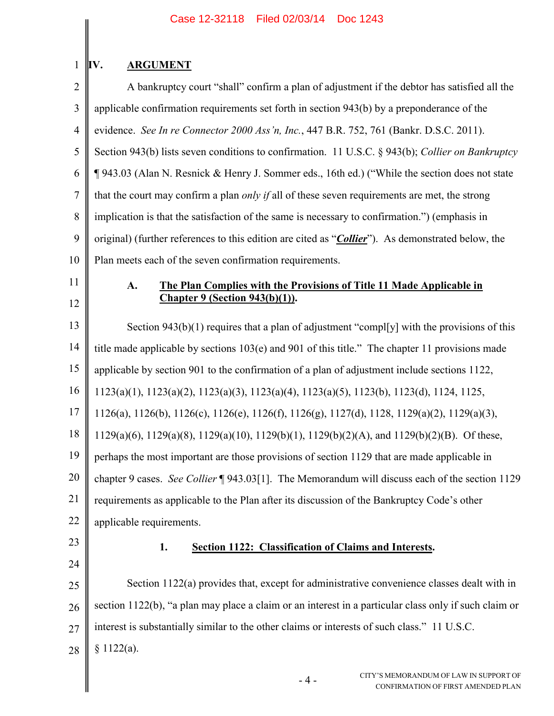# **IV. ARGUMENT**

1

| $\overline{2}$ | A bankruptcy court "shall" confirm a plan of adjustment if the debtor has satisfied all the                    |
|----------------|----------------------------------------------------------------------------------------------------------------|
| $\mathfrak{Z}$ | applicable confirmation requirements set forth in section 943(b) by a preponderance of the                     |
| $\overline{4}$ | evidence. See In re Connector 2000 Ass'n, Inc., 447 B.R. 752, 761 (Bankr. D.S.C. 2011).                        |
| 5              | Section 943(b) lists seven conditions to confirmation. 11 U.S.C. § 943(b); Collier on Bankruptcy               |
| 6              | ¶943.03 (Alan N. Resnick & Henry J. Sommer eds., 16th ed.) ("While the section does not state                  |
| $\overline{7}$ | that the court may confirm a plan <i>only if</i> all of these seven requirements are met, the strong           |
| 8              | implication is that the satisfaction of the same is necessary to confirmation.") (emphasis in                  |
| 9              | original) (further references to this edition are cited as " <i>Collier</i> "). As demonstrated below, the     |
| 10             | Plan meets each of the seven confirmation requirements.                                                        |
| 11             | The Plan Complies with the Provisions of Title 11 Made Applicable in<br>A.                                     |
| 12             | <b>Chapter 9 (Section 943(b)(1)).</b>                                                                          |
| 13             | Section $943(b)(1)$ requires that a plan of adjustment "compl[y] with the provisions of this                   |
| 14             | title made applicable by sections 103(e) and 901 of this title." The chapter 11 provisions made                |
| 15             | applicable by section 901 to the confirmation of a plan of adjustment include sections 1122,                   |
| 16             | 1123(a)(1), 1123(a)(2), 1123(a)(3), 1123(a)(4), 1123(a)(5), 1123(b), 1123(d), 1124, 1125,                      |
| 17             | 1126(a), 1126(b), 1126(c), 1126(e), 1126(f), 1126(g), 1127(d), 1128, 1129(a)(2), 1129(a)(3),                   |
| 18             | $1129(a)(6)$ , $1129(a)(8)$ , $1129(a)(10)$ , $1129(b)(1)$ , $1129(b)(2)(A)$ , and $1129(b)(2)(B)$ . Of these, |
| 19             | perhaps the most important are those provisions of section 1129 that are made applicable in                    |
| 20             | chapter 9 cases. See Collier [943.03[1]. The Memorandum will discuss each of the section 1129                  |
| 21             | requirements as applicable to the Plan after its discussion of the Bankruptcy Code's other                     |
| 22             | applicable requirements.                                                                                       |
| 23             | 1.<br><b>Section 1122: Classification of Claims and Interests.</b>                                             |
| 24             |                                                                                                                |
| 25             | Section 1122(a) provides that, except for administrative convenience classes dealt with in                     |
| 26             | section 1122(b), "a plan may place a claim or an interest in a particular class only if such claim or          |
| 27             | interest is substantially similar to the other claims or interests of such class." 11 U.S.C.                   |
| 28             | \$1122(a).                                                                                                     |
|                | CITY'S MEMORANDUM OF LAW IN SUPPORT OF<br>$-4-$<br>CONFIRMATION OF FIRST AMENDED PLAN                          |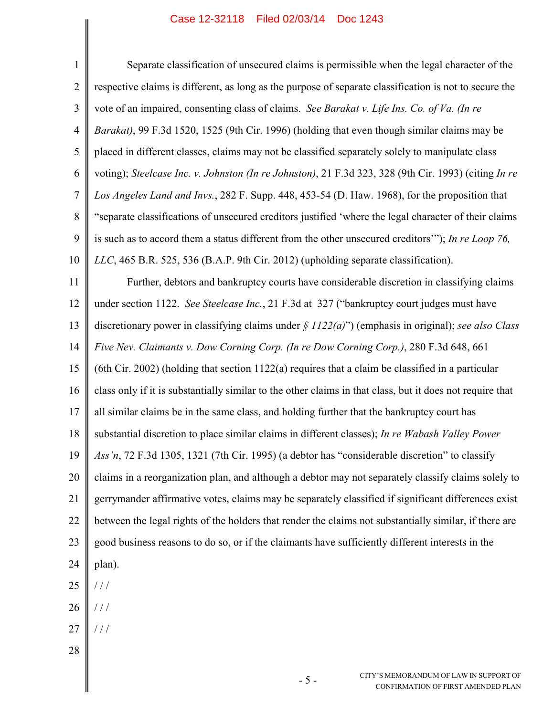$\parallel$ 

║

| 1              | Separate classification of unsecured claims is permissible when the legal character of the                       |
|----------------|------------------------------------------------------------------------------------------------------------------|
| $\overline{2}$ | respective claims is different, as long as the purpose of separate classification is not to secure the           |
| 3              | vote of an impaired, consenting class of claims. See Barakat v. Life Ins. Co. of Va. (In re                      |
| $\overline{4}$ | Barakat), 99 F.3d 1520, 1525 (9th Cir. 1996) (holding that even though similar claims may be                     |
| 5              | placed in different classes, claims may not be classified separately solely to manipulate class                  |
| 6              | voting); Steelcase Inc. v. Johnston (In re Johnston), 21 F.3d 323, 328 (9th Cir. 1993) (citing In re             |
| $\tau$         | Los Angeles Land and Invs., 282 F. Supp. 448, 453-54 (D. Haw. 1968), for the proposition that                    |
| 8              | "separate classifications of unsecured creditors justified 'where the legal character of their claims            |
| 9              | is such as to accord them a status different from the other unsecured creditors"); In re Loop 76,                |
| 10             | LLC, 465 B.R. 525, 536 (B.A.P. 9th Cir. 2012) (upholding separate classification).                               |
| 11             | Further, debtors and bankruptcy courts have considerable discretion in classifying claims                        |
| 12             | under section 1122. See Steelcase Inc., 21 F.3d at 327 ("bankruptcy court judges must have                       |
| 13             | discretionary power in classifying claims under $\frac{\xi}{I}$ 1122(a)") (emphasis in original); see also Class |
| 14             | Five Nev. Claimants v. Dow Corning Corp. (In re Dow Corning Corp.), 280 F.3d 648, 661                            |
| 15             | (6th Cir. 2002) (holding that section $1122(a)$ requires that a claim be classified in a particular              |
| 16             | class only if it is substantially similar to the other claims in that class, but it does not require that        |
| 17             | all similar claims be in the same class, and holding further that the bankruptcy court has                       |
| 18             | substantial discretion to place similar claims in different classes); In re Wabash Valley Power                  |
| 19             | Ass'n, 72 F.3d 1305, 1321 (7th Cir. 1995) (a debtor has "considerable discretion" to classify                    |
| 20             | claims in a reorganization plan, and although a debtor may not separately classify claims solely to              |
| 21             | gerrymander affirmative votes, claims may be separately classified if significant differences exist              |
| 22             | between the legal rights of the holders that render the claims not substantially similar, if there are           |
| 23             | good business reasons to do so, or if the claimants have sufficiently different interests in the                 |
| 24             | plan).                                                                                                           |
| 25             | 111                                                                                                              |
| 26             | 111                                                                                                              |
| 27             | 111                                                                                                              |
| 28             |                                                                                                                  |
|                | CITY'S MEMORANDUM OF LAW IN SUPPORT OF<br>$-5-$<br>CONFIRMATION OF FIRST AMENDED PLAN                            |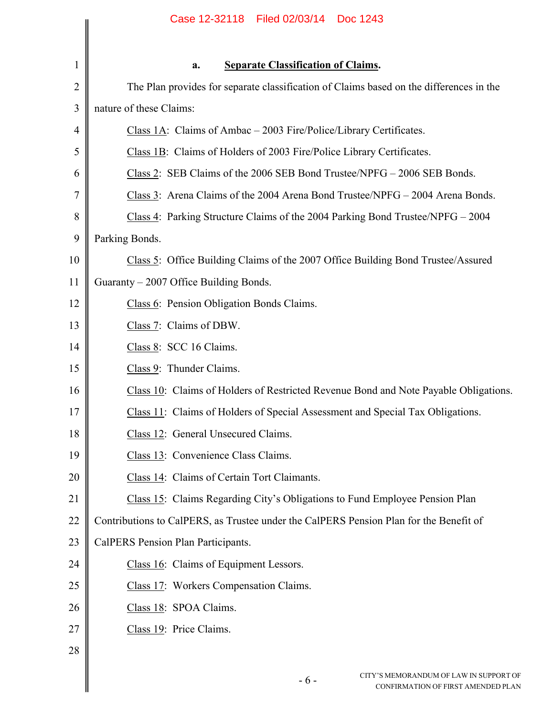|                | Case 12-32118   Filed 02/03/14   Doc 1243                                               |
|----------------|-----------------------------------------------------------------------------------------|
| 1              | <b>Separate Classification of Claims.</b><br>a.                                         |
| $\overline{2}$ | The Plan provides for separate classification of Claims based on the differences in the |
| 3              | nature of these Claims:                                                                 |
| $\overline{4}$ | Class 1A: Claims of Ambac – 2003 Fire/Police/Library Certificates.                      |
| 5              | Class 1B: Claims of Holders of 2003 Fire/Police Library Certificates.                   |
| 6              | Class 2: SEB Claims of the 2006 SEB Bond Trustee/NPFG – 2006 SEB Bonds.                 |
| 7              | Class 3: Arena Claims of the 2004 Arena Bond Trustee/NPFG – 2004 Arena Bonds.           |
| 8              | Class 4: Parking Structure Claims of the 2004 Parking Bond Trustee/NPFG – 2004          |
| 9              | Parking Bonds.                                                                          |
| 10             | Class 5: Office Building Claims of the 2007 Office Building Bond Trustee/Assured        |
| 11             | Guaranty - 2007 Office Building Bonds.                                                  |
| 12             | Class 6: Pension Obligation Bonds Claims.                                               |
| 13             | Class 7: Claims of DBW.                                                                 |
| 14             | Class 8: SCC 16 Claims.                                                                 |
| 15             | Class 9: Thunder Claims.                                                                |
| 16             | Class 10: Claims of Holders of Restricted Revenue Bond and Note Payable Obligations.    |
| 17             | Class 11: Claims of Holders of Special Assessment and Special Tax Obligations.          |
| 18             | Class 12: General Unsecured Claims.                                                     |
| 19             | Class 13: Convenience Class Claims.                                                     |
| 20             | Class 14: Claims of Certain Tort Claimants.                                             |
| 21             | Class 15: Claims Regarding City's Obligations to Fund Employee Pension Plan             |
| 22             | Contributions to CalPERS, as Trustee under the CalPERS Pension Plan for the Benefit of  |
| 23             | CalPERS Pension Plan Participants.                                                      |
| 24             | Class 16: Claims of Equipment Lessors.                                                  |
| 25             | Class 17: Workers Compensation Claims.                                                  |
| 26             | Class 18: SPOA Claims.                                                                  |
| 27             | Class 19: Price Claims.                                                                 |
| 28             |                                                                                         |
|                | CITY'S MEMORANDUM OF LAW IN SUPPORT O<br>$-6-$<br>CONFIRMATION OF FIRST AMENDED PLA     |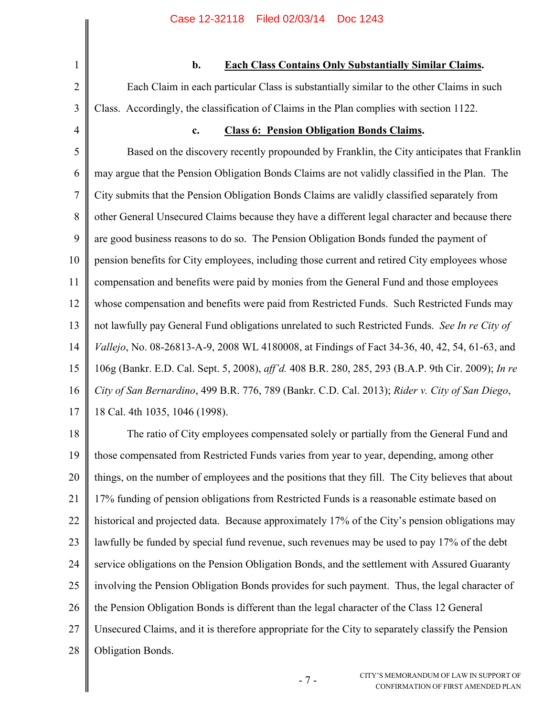### **b. Each Class Contains Only Substantially Similar Claims.**

Each Claim in each particular Class is substantially similar to the other Claims in such Class. Accordingly, the classification of Claims in the Plan complies with section 1122.

**c. Class 6: Pension Obligation Bonds Claims.**

5 6 7 8 9 10 11 12 13 14 15 16 17 Based on the discovery recently propounded by Franklin, the City anticipates that Franklin may argue that the Pension Obligation Bonds Claims are not validly classified in the Plan. The City submits that the Pension Obligation Bonds Claims are validly classified separately from other General Unsecured Claims because they have a different legal character and because there are good business reasons to do so. The Pension Obligation Bonds funded the payment of pension benefits for City employees, including those current and retired City employees whose compensation and benefits were paid by monies from the General Fund and those employees whose compensation and benefits were paid from Restricted Funds. Such Restricted Funds may not lawfully pay General Fund obligations unrelated to such Restricted Funds. *See In re City of Vallejo*, No. 08-26813-A-9, 2008 WL 4180008, at Findings of Fact 34-36, 40, 42, 54, 61-63, and 106g (Bankr. E.D. Cal. Sept. 5, 2008), *aff'd.* 408 B.R. 280, 285, 293 (B.A.P. 9th Cir. 2009); *In re City of San Bernardino*, 499 B.R. 776, 789 (Bankr. C.D. Cal. 2013); *Rider v. City of San Diego*, 18 Cal. 4th 1035, 1046 (1998).

18 19 20 21 22 23 24 25 26 27 28 The ratio of City employees compensated solely or partially from the General Fund and those compensated from Restricted Funds varies from year to year, depending, among other things, on the number of employees and the positions that they fill. The City believes that about 17% funding of pension obligations from Restricted Funds is a reasonable estimate based on historical and projected data. Because approximately 17% of the City's pension obligations may lawfully be funded by special fund revenue, such revenues may be used to pay 17% of the debt service obligations on the Pension Obligation Bonds, and the settlement with Assured Guaranty involving the Pension Obligation Bonds provides for such payment. Thus, the legal character of the Pension Obligation Bonds is different than the legal character of the Class 12 General Unsecured Claims, and it is therefore appropriate for the City to separately classify the Pension Obligation Bonds.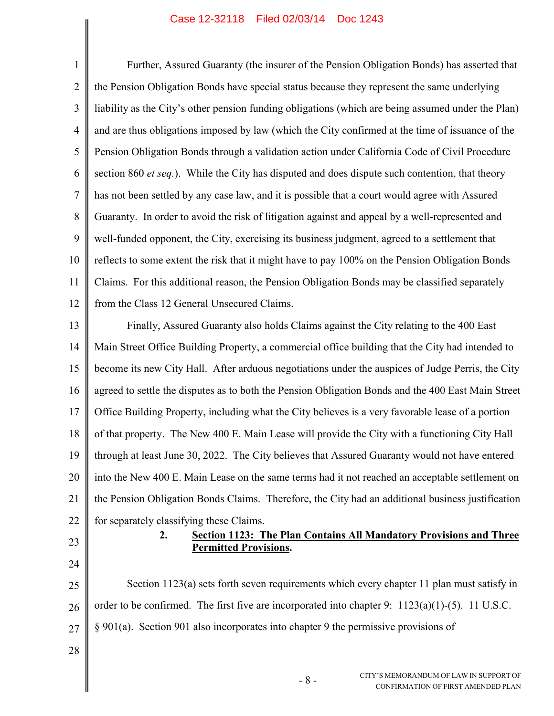1 2 3 4 5 6 7 8 9 10 11 12 Further, Assured Guaranty (the insurer of the Pension Obligation Bonds) has asserted that the Pension Obligation Bonds have special status because they represent the same underlying liability as the City's other pension funding obligations (which are being assumed under the Plan) and are thus obligations imposed by law (which the City confirmed at the time of issuance of the Pension Obligation Bonds through a validation action under California Code of Civil Procedure section 860 *et seq.*). While the City has disputed and does dispute such contention, that theory has not been settled by any case law, and it is possible that a court would agree with Assured Guaranty. In order to avoid the risk of litigation against and appeal by a well-represented and well-funded opponent, the City, exercising its business judgment, agreed to a settlement that reflects to some extent the risk that it might have to pay 100% on the Pension Obligation Bonds Claims. For this additional reason, the Pension Obligation Bonds may be classified separately from the Class 12 General Unsecured Claims.

13 14 15 16 17 18 19 20 21 22 Finally, Assured Guaranty also holds Claims against the City relating to the 400 East Main Street Office Building Property, a commercial office building that the City had intended to become its new City Hall. After arduous negotiations under the auspices of Judge Perris, the City agreed to settle the disputes as to both the Pension Obligation Bonds and the 400 East Main Street Office Building Property, including what the City believes is a very favorable lease of a portion of that property. The New 400 E. Main Lease will provide the City with a functioning City Hall through at least June 30, 2022. The City believes that Assured Guaranty would not have entered into the New 400 E. Main Lease on the same terms had it not reached an acceptable settlement on the Pension Obligation Bonds Claims. Therefore, the City had an additional business justification for separately classifying these Claims.

23

24

### **2. Section 1123: The Plan Contains All Mandatory Provisions and Three Permitted Provisions.**

25 26 27 Section 1123(a) sets forth seven requirements which every chapter 11 plan must satisfy in order to be confirmed. The first five are incorporated into chapter 9:  $1123(a)(1)-(5)$ . 11 U.S.C. § 901(a). Section 901 also incorporates into chapter 9 the permissive provisions of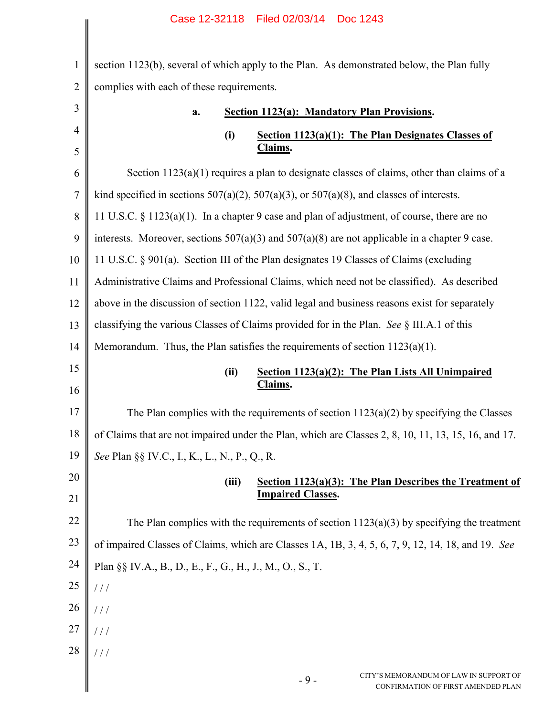|                | Case IZ-32110 – Filed 02/03/14 – DOC 1243                                                           |
|----------------|-----------------------------------------------------------------------------------------------------|
| $\mathbf{1}$   | section 1123(b), several of which apply to the Plan. As demonstrated below, the Plan fully          |
| $\overline{2}$ | complies with each of these requirements.                                                           |
| 3              | <b>Section 1123(a): Mandatory Plan Provisions.</b><br>a.                                            |
| 4              | (i)<br>Section 1123(a)(1): The Plan Designates Classes of                                           |
| 5              | Claims.                                                                                             |
| 6              | Section $1123(a)(1)$ requires a plan to designate classes of claims, other than claims of a         |
| 7              | kind specified in sections $507(a)(2)$ , $507(a)(3)$ , or $507(a)(8)$ , and classes of interests.   |
| 8              | 11 U.S.C. § 1123(a)(1). In a chapter 9 case and plan of adjustment, of course, there are no         |
| 9              | interests. Moreover, sections $507(a)(3)$ and $507(a)(8)$ are not applicable in a chapter 9 case.   |
| 10             | 11 U.S.C. § 901(a). Section III of the Plan designates 19 Classes of Claims (excluding              |
| 11             | Administrative Claims and Professional Claims, which need not be classified). As described          |
| 12             | above in the discussion of section 1122, valid legal and business reasons exist for separately      |
| 13             | classifying the various Classes of Claims provided for in the Plan. See § III.A.1 of this           |
| 14             | Memorandum. Thus, the Plan satisfies the requirements of section $1123(a)(1)$ .                     |
| 15<br>16       | Section 1123(a)(2): The Plan Lists All Unimpaired<br>(ii)<br>Claims.                                |
| 17             | The Plan complies with the requirements of section $1123(a)(2)$ by specifying the Classes           |
| 18             | of Claims that are not impaired under the Plan, which are Classes 2, 8, 10, 11, 13, 15, 16, and 17. |
| 19             | See Plan §§ IV.C., I., K., L., N., P., Q., R.                                                       |
| 20             | (iii)<br>Section 1123(a)(3): The Plan Describes the Treatment of<br><b>Impaired Classes.</b>        |
| 21             |                                                                                                     |
| 22             | The Plan complies with the requirements of section $1123(a)(3)$ by specifying the treatment         |
| 23             | of impaired Classes of Claims, which are Classes 1A, 1B, 3, 4, 5, 6, 7, 9, 12, 14, 18, and 19. See  |
| 24             | Plan §§ IV.A., B., D., E., F., G., H., J., M., O., S., T.                                           |
| 25             | $\frac{1}{2}$                                                                                       |
| 26             | 111                                                                                                 |
| <b>27</b>      | 111                                                                                                 |
| $28\,$         | 111                                                                                                 |
|                |                                                                                                     |

- 9 -

 $\blacksquare$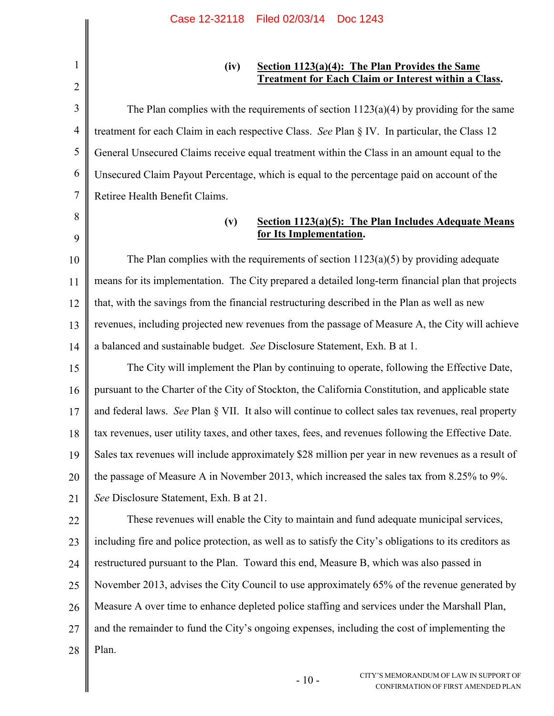2

8

9

### **(iv) Section 1123(a)(4): The Plan Provides the Same Treatment for Each Claim or Interest within a Class.**

3 4 5 6 7 The Plan complies with the requirements of section  $1123(a)(4)$  by providing for the same treatment for each Claim in each respective Class. *See* Plan § IV. In particular, the Class 12 General Unsecured Claims receive equal treatment within the Class in an amount equal to the Unsecured Claim Payout Percentage, which is equal to the percentage paid on account of the Retiree Health Benefit Claims.

### **(v) Section 1123(a)(5): The Plan Includes Adequate Means for Its Implementation.**

10 11 12 13 14 The Plan complies with the requirements of section  $1123(a)(5)$  by providing adequate means for its implementation. The City prepared a detailed long-term financial plan that projects that, with the savings from the financial restructuring described in the Plan as well as new revenues, including projected new revenues from the passage of Measure A, the City will achieve a balanced and sustainable budget. *See* Disclosure Statement, Exh. B at 1.

15 16 17 18 19 20 21 The City will implement the Plan by continuing to operate, following the Effective Date, pursuant to the Charter of the City of Stockton, the California Constitution, and applicable state and federal laws. *See* Plan § VII. It also will continue to collect sales tax revenues, real property tax revenues, user utility taxes, and other taxes, fees, and revenues following the Effective Date. Sales tax revenues will include approximately \$28 million per year in new revenues as a result of the passage of Measure A in November 2013, which increased the sales tax from 8.25% to 9%. *See* Disclosure Statement, Exh. B at 21.

22 23 24 25 26 27 28 These revenues will enable the City to maintain and fund adequate municipal services, including fire and police protection, as well as to satisfy the City's obligations to its creditors as restructured pursuant to the Plan. Toward this end, Measure B, which was also passed in November 2013, advises the City Council to use approximately 65% of the revenue generated by Measure A over time to enhance depleted police staffing and services under the Marshall Plan, and the remainder to fund the City's ongoing expenses, including the cost of implementing the Plan.

 $-10-$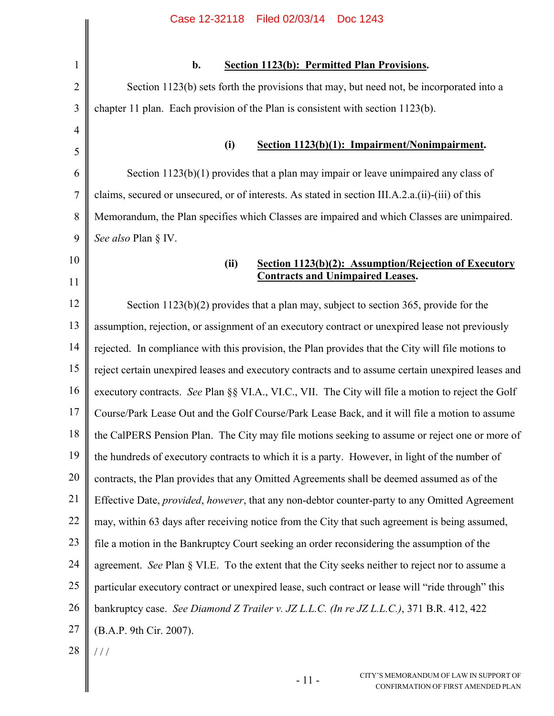|                | Case 12-32118<br>Filed 02/03/14<br>Doc 1243                                                        |
|----------------|----------------------------------------------------------------------------------------------------|
|                |                                                                                                    |
| $\mathbf{1}$   | b.<br><b>Section 1123(b): Permitted Plan Provisions.</b>                                           |
| $\overline{2}$ | Section 1123(b) sets forth the provisions that may, but need not, be incorporated into a           |
| 3              | chapter 11 plan. Each provision of the Plan is consistent with section 1123(b).                    |
| $\overline{4}$ |                                                                                                    |
| 5              | Section 1123(b)(1): Impairment/Nonimpairment.<br>(i)                                               |
| 6              | Section $1123(b)(1)$ provides that a plan may impair or leave unimpaired any class of              |
| 7              | claims, secured or unsecured, or of interests. As stated in section III.A.2.a.(ii)-(iii) of this   |
| 8              | Memorandum, the Plan specifies which Classes are impaired and which Classes are unimpaired.        |
| 9              | See also Plan § IV.                                                                                |
| 10             | Section 1123(b)(2): Assumption/Rejection of Executory<br>(ii)                                      |
| 11             | <b>Contracts and Unimpaired Leases.</b>                                                            |
| 12             | Section $1123(b)(2)$ provides that a plan may, subject to section 365, provide for the             |
| 13             | assumption, rejection, or assignment of an executory contract or unexpired lease not previously    |
| 14             | rejected. In compliance with this provision, the Plan provides that the City will file motions to  |
| 15             | reject certain unexpired leases and executory contracts and to assume certain unexpired leases and |
| 16             | executory contracts. See Plan §§ VI.A., VI.C., VII. The City will file a motion to reject the Golf |
| 17             | Course/Park Lease Out and the Golf Course/Park Lease Back, and it will file a motion to assume     |
| 18             | the CalPERS Pension Plan. The City may file motions seeking to assume or reject one or more of     |
| 19             | the hundreds of executory contracts to which it is a party. However, in light of the number of     |
| 20             | contracts, the Plan provides that any Omitted Agreements shall be deemed assumed as of the         |
| 21             | Effective Date, provided, however, that any non-debtor counter-party to any Omitted Agreement      |
| 22             | may, within 63 days after receiving notice from the City that such agreement is being assumed,     |
| 23             | file a motion in the Bankruptcy Court seeking an order reconsidering the assumption of the         |
| 24             | agreement. See Plan § VI.E. To the extent that the City seeks neither to reject nor to assume a    |
| 25             | particular executory contract or unexpired lease, such contract or lease will "ride through" this  |
| 26             | bankruptcy case. See Diamond Z Trailer v. JZ L.L.C. (In re JZ L.L.C.), 371 B.R. 412, 422           |
| 27             | (B.A.P. 9th Cir. 2007).                                                                            |
| 28             | 111                                                                                                |

- 11 -

 $\parallel$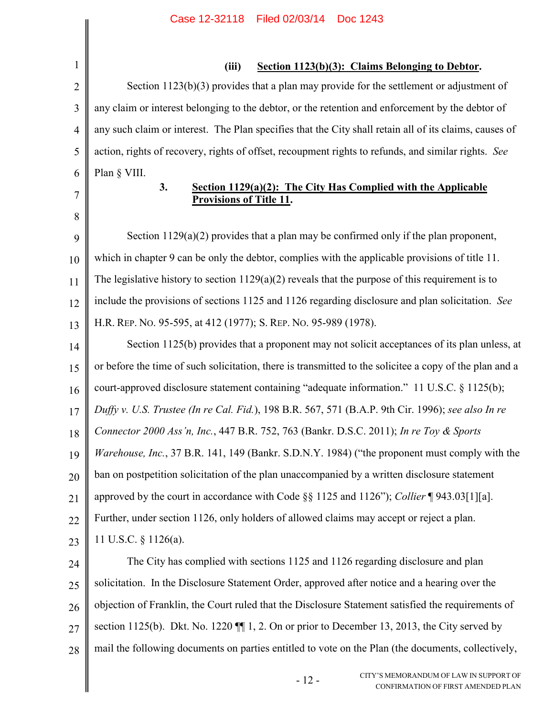|                | Case IZ-32118 Filed 02/03/14 DOC 1243                                                                   |
|----------------|---------------------------------------------------------------------------------------------------------|
| $\mathbf{1}$   | (iii)<br>Section 1123(b)(3): Claims Belonging to Debtor.                                                |
| $\overline{2}$ | Section $1123(b)(3)$ provides that a plan may provide for the settlement or adjustment of               |
| 3              | any claim or interest belonging to the debtor, or the retention and enforcement by the debtor of        |
| $\overline{4}$ | any such claim or interest. The Plan specifies that the City shall retain all of its claims, causes of  |
| 5              | action, rights of recovery, rights of offset, recoupment rights to refunds, and similar rights. See     |
| 6              | Plan § VIII.                                                                                            |
| 7              | 3.<br>Section 1129(a)(2): The City Has Complied with the Applicable<br><b>Provisions of Title 11.</b>   |
| 8              |                                                                                                         |
| 9              | Section $1129(a)(2)$ provides that a plan may be confirmed only if the plan proponent,                  |
| 10             | which in chapter 9 can be only the debtor, complies with the applicable provisions of title 11.         |
| 11             | The legislative history to section $1129(a)(2)$ reveals that the purpose of this requirement is to      |
| 12             | include the provisions of sections 1125 and 1126 regarding disclosure and plan solicitation. See        |
| 13             | H.R. REP. No. 95-595, at 412 (1977); S. REP. No. 95-989 (1978).                                         |
| 14             | Section 1125(b) provides that a proponent may not solicit acceptances of its plan unless, at            |
| 15             | or before the time of such solicitation, there is transmitted to the solicitee a copy of the plan and a |
| 16             | court-approved disclosure statement containing "adequate information." 11 U.S.C. § 1125(b);             |
| 17             | Duffy v. U.S. Trustee (In re Cal. Fid.), 198 B.R. 567, 571 (B.A.P. 9th Cir. 1996); see also In re       |
| 18             | Connector 2000 Ass'n, Inc., 447 B.R. 752, 763 (Bankr. D.S.C. 2011); In re Toy & Sports                  |
| 19             | Warehouse, Inc., 37 B.R. 141, 149 (Bankr. S.D.N.Y. 1984) ("the proponent must comply with the           |
| 20             | ban on postpetition solicitation of the plan unaccompanied by a written disclosure statement            |
| 21             | approved by the court in accordance with Code §§ 1125 and 1126"); Collier ¶ 943.03[1][a].               |
| 22             | Further, under section 1126, only holders of allowed claims may accept or reject a plan.                |
| 23             | 11 U.S.C. $\S$ 1126(a).                                                                                 |
| 24             | The City has complied with sections 1125 and 1126 regarding disclosure and plan                         |
| 25             | solicitation. In the Disclosure Statement Order, approved after notice and a hearing over the           |
| 26             | objection of Franklin, the Court ruled that the Disclosure Statement satisfied the requirements of      |
| 27             | section 1125(b). Dkt. No. 1220 $\P$ 1, 2. On or prior to December 13, 2013, the City served by          |
| 28             | mail the following documents on parties entitled to vote on the Plan (the documents, collectively,      |

 $\overline{\phantom{a}}$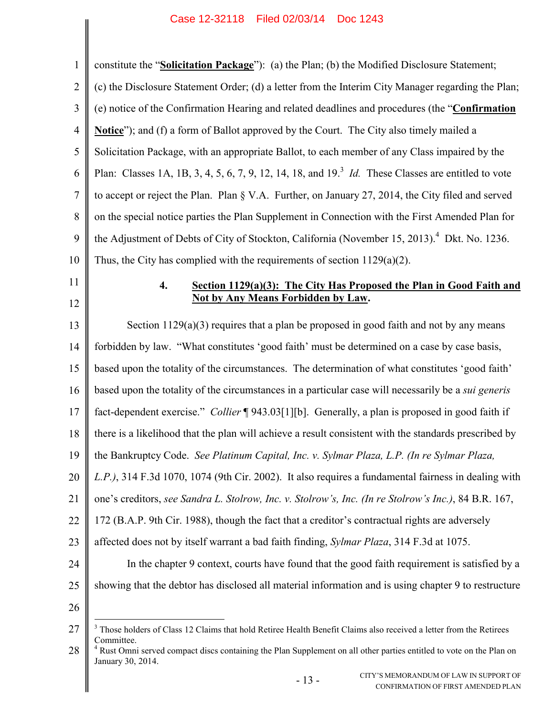| $\mathbf{1}$   | constitute the "Solicitation Package"): (a) the Plan; (b) the Modified Disclosure Statement;                                                                       |
|----------------|--------------------------------------------------------------------------------------------------------------------------------------------------------------------|
| $\overline{2}$ | (c) the Disclosure Statement Order; (d) a letter from the Interim City Manager regarding the Plan;                                                                 |
| 3              | (e) notice of the Confirmation Hearing and related deadlines and procedures (the "Confirmation                                                                     |
| $\overline{4}$ | <b>Notice</b> "); and (f) a form of Ballot approved by the Court. The City also timely mailed a                                                                    |
| 5              | Solicitation Package, with an appropriate Ballot, to each member of any Class impaired by the                                                                      |
| 6              | Plan: Classes 1A, 1B, 3, 4, 5, 6, 7, 9, 12, 14, 18, and $193$ <i>Id</i> . These Classes are entitled to vote                                                       |
| $\tau$         | to accept or reject the Plan. Plan § V.A. Further, on January 27, 2014, the City filed and served                                                                  |
| 8              | on the special notice parties the Plan Supplement in Connection with the First Amended Plan for                                                                    |
| 9              | the Adjustment of Debts of City of Stockton, California (November 15, 2013). <sup>4</sup> Dkt. No. 1236.                                                           |
| 10             | Thus, the City has complied with the requirements of section $1129(a)(2)$ .                                                                                        |
| 11             | $\boldsymbol{4}$ .<br>Section 1129(a)(3): The City Has Proposed the Plan in Good Faith and                                                                         |
| 12             | <b>Not by Any Means Forbidden by Law.</b>                                                                                                                          |
| 13             | Section $1129(a)(3)$ requires that a plan be proposed in good faith and not by any means                                                                           |
| 14             | forbidden by law. "What constitutes 'good faith' must be determined on a case by case basis,                                                                       |
| 15             | based upon the totality of the circumstances. The determination of what constitutes 'good faith'                                                                   |
| 16             | based upon the totality of the circumstances in a particular case will necessarily be a <i>sui generis</i>                                                         |
| 17             | fact-dependent exercise." Collier ¶943.03[1][b]. Generally, a plan is proposed in good faith if                                                                    |
| 18             | there is a likelihood that the plan will achieve a result consistent with the standards prescribed by                                                              |
| 19             | the Bankruptcy Code. See Platinum Capital, Inc. v. Sylmar Plaza, L.P. (In re Sylmar Plaza,                                                                         |
| 20             | L.P.), 314 F.3d 1070, 1074 (9th Cir. 2002). It also requires a fundamental fairness in dealing with                                                                |
| 21             | one's creditors, see Sandra L. Stolrow, Inc. v. Stolrow's, Inc. (In re Stolrow's Inc.), 84 B.R. 167,                                                               |
| 22             | 172 (B.A.P. 9th Cir. 1988), though the fact that a creditor's contractual rights are adversely                                                                     |
| 23             | affected does not by itself warrant a bad faith finding, Sylmar Plaza, 314 F.3d at 1075.                                                                           |
| 24             | In the chapter 9 context, courts have found that the good faith requirement is satisfied by a                                                                      |
| 25             | showing that the debtor has disclosed all material information and is using chapter 9 to restructure                                                               |
| 26             |                                                                                                                                                                    |
| 27             | <sup>3</sup> Those holders of Class 12 Claims that hold Retiree Health Benefit Claims also received a letter from the Retirees                                     |
| 28             | Committee.<br><sup>4</sup> Rust Omni served compact discs containing the Plan Supplement on all other parties entitled to vote on the Plan on<br>January 30, 2014. |
|                | CITY'S MEMORANDUM OF LAW IN SUPPORT OF<br>$-13-$<br>CONFIRMATION OF FIRST AMENDED PLAN                                                                             |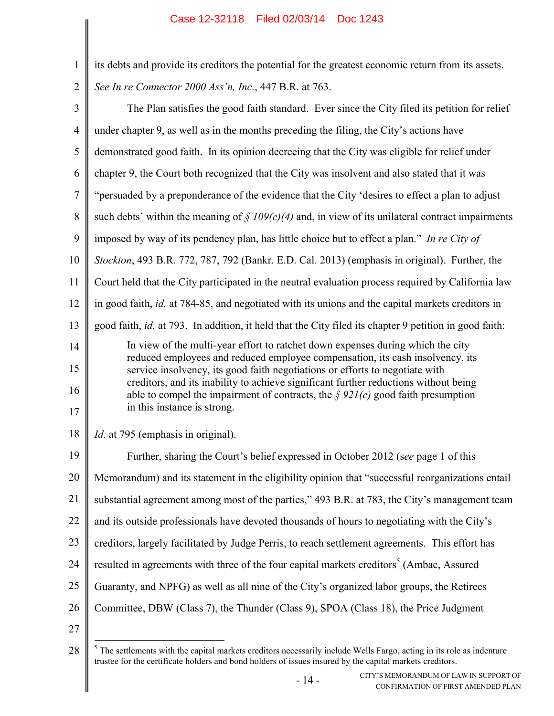| $\mathbf{1}$   | its debts and provide its creditors the potential for the greatest economic return from its assets.                                                                                 |
|----------------|-------------------------------------------------------------------------------------------------------------------------------------------------------------------------------------|
| $\sqrt{2}$     | See In re Connector 2000 Ass'n, Inc., 447 B.R. at 763.                                                                                                                              |
| $\mathfrak{Z}$ | The Plan satisfies the good faith standard. Ever since the City filed its petition for relief                                                                                       |
| $\overline{4}$ | under chapter 9, as well as in the months preceding the filing, the City's actions have                                                                                             |
| 5              | demonstrated good faith. In its opinion decreeing that the City was eligible for relief under                                                                                       |
| 6              | chapter 9, the Court both recognized that the City was insolvent and also stated that it was                                                                                        |
| $\overline{7}$ | "persuaded by a preponderance of the evidence that the City 'desires to effect a plan to adjust                                                                                     |
| $8\,$          | such debts' within the meaning of $\frac{5}{9}$ 109(c)(4) and, in view of its unilateral contract impairments                                                                       |
| 9              | imposed by way of its pendency plan, has little choice but to effect a plan." In re City of                                                                                         |
| 10             | Stockton, 493 B.R. 772, 787, 792 (Bankr. E.D. Cal. 2013) (emphasis in original). Further, the                                                                                       |
| 11             | Court held that the City participated in the neutral evaluation process required by California law                                                                                  |
| 12             | in good faith, id. at 784-85, and negotiated with its unions and the capital markets creditors in                                                                                   |
| 13             | good faith, <i>id.</i> at 793. In addition, it held that the City filed its chapter 9 petition in good faith:                                                                       |
| 14             | In view of the multi-year effort to ratchet down expenses during which the city<br>reduced employees and reduced employee compensation, its cash insolvency, its                    |
| 15             | service insolvency, its good faith negotiations or efforts to negotiate with                                                                                                        |
| 16             | creditors, and its inability to achieve significant further reductions without being<br>able to compel the impairment of contracts, the $\frac{6}{9}$ 921(c) good faith presumption |
| 17             | in this instance is strong.                                                                                                                                                         |
| 18             | <i>Id.</i> at 795 (emphasis in original).                                                                                                                                           |
| 19             | Further, sharing the Court's belief expressed in October 2012 (see page 1 of this                                                                                                   |
| 20             | Memorandum) and its statement in the eligibility opinion that "successful reorganizations entail                                                                                    |
| 21             | substantial agreement among most of the parties," 493 B.R. at 783, the City's management team                                                                                       |
| 22             | and its outside professionals have devoted thousands of hours to negotiating with the City's                                                                                        |
| 23             | creditors, largely facilitated by Judge Perris, to reach settlement agreements. This effort has                                                                                     |
| 24             | resulted in agreements with three of the four capital markets creditors <sup>5</sup> (Ambac, Assured                                                                                |
| 25             | Guaranty, and NPFG) as well as all nine of the City's organized labor groups, the Retirees                                                                                          |
| 26             | Committee, DBW (Class 7), the Thunder (Class 9), SPOA (Class 18), the Price Judgment                                                                                                |
| 27             |                                                                                                                                                                                     |
|                |                                                                                                                                                                                     |

<sup>28</sup>  $<sup>5</sup>$  The settlements with the capital markets creditors necessarily include Wells Fargo, acting in its role as indenture</sup> trustee for the certificate holders and bond holders of issues insured by the capital markets creditors.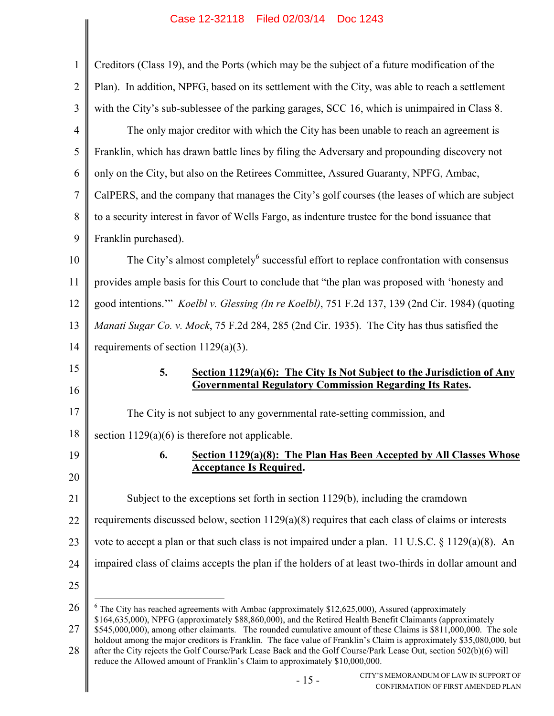| 1              | Creditors (Class 19), and the Ports (which may be the subject of a future modification of the                                                                                                                                                                                                                             |  |  |  |
|----------------|---------------------------------------------------------------------------------------------------------------------------------------------------------------------------------------------------------------------------------------------------------------------------------------------------------------------------|--|--|--|
| $\overline{2}$ | Plan). In addition, NPFG, based on its settlement with the City, was able to reach a settlement                                                                                                                                                                                                                           |  |  |  |
| 3              | with the City's sub-sublessee of the parking garages, SCC 16, which is unimpaired in Class 8.                                                                                                                                                                                                                             |  |  |  |
| 4              | The only major creditor with which the City has been unable to reach an agreement is                                                                                                                                                                                                                                      |  |  |  |
| 5              | Franklin, which has drawn battle lines by filing the Adversary and propounding discovery not                                                                                                                                                                                                                              |  |  |  |
| 6              | only on the City, but also on the Retirees Committee, Assured Guaranty, NPFG, Ambac,                                                                                                                                                                                                                                      |  |  |  |
| 7              | CalPERS, and the company that manages the City's golf courses (the leases of which are subject                                                                                                                                                                                                                            |  |  |  |
| 8              | to a security interest in favor of Wells Fargo, as indenture trustee for the bond issuance that                                                                                                                                                                                                                           |  |  |  |
| 9              | Franklin purchased).                                                                                                                                                                                                                                                                                                      |  |  |  |
| 10             | The City's almost completely <sup>6</sup> successful effort to replace confrontation with consensus                                                                                                                                                                                                                       |  |  |  |
| 11             | provides ample basis for this Court to conclude that "the plan was proposed with 'honesty and                                                                                                                                                                                                                             |  |  |  |
| 12             | good intentions." Koelbl v. Glessing (In re Koelbl), 751 F.2d 137, 139 (2nd Cir. 1984) (quoting                                                                                                                                                                                                                           |  |  |  |
| 13             | Manati Sugar Co. v. Mock, 75 F.2d 284, 285 (2nd Cir. 1935). The City has thus satisfied the                                                                                                                                                                                                                               |  |  |  |
| 14             | requirements of section $1129(a)(3)$ .                                                                                                                                                                                                                                                                                    |  |  |  |
| 15             | 5.<br>Section 1129(a)(6): The City Is Not Subject to the Jurisdiction of Any                                                                                                                                                                                                                                              |  |  |  |
| 16             | <b>Governmental Regulatory Commission Regarding Its Rates.</b>                                                                                                                                                                                                                                                            |  |  |  |
| 17             | The City is not subject to any governmental rate-setting commission, and                                                                                                                                                                                                                                                  |  |  |  |
| 18             | section $1129(a)(6)$ is therefore not applicable.                                                                                                                                                                                                                                                                         |  |  |  |
| 19             | Section 1129(a)(8): The Plan Has Been Accepted by All Classes Whose<br>6.<br><b>Acceptance Is Required.</b>                                                                                                                                                                                                               |  |  |  |
| 20             |                                                                                                                                                                                                                                                                                                                           |  |  |  |
|                |                                                                                                                                                                                                                                                                                                                           |  |  |  |
| 21             | Subject to the exceptions set forth in section 1129(b), including the cramdown                                                                                                                                                                                                                                            |  |  |  |
| 22             | requirements discussed below, section $1129(a)(8)$ requires that each class of claims or interests                                                                                                                                                                                                                        |  |  |  |
| 23             | vote to accept a plan or that such class is not impaired under a plan. 11 U.S.C. $\S 1129(a)(8)$ . An                                                                                                                                                                                                                     |  |  |  |
|                | impaired class of claims accepts the plan if the holders of at least two-thirds in dollar amount and                                                                                                                                                                                                                      |  |  |  |
| 24<br>25       |                                                                                                                                                                                                                                                                                                                           |  |  |  |
| 26             | $6$ The City has reached agreements with Ambac (approximately \$12,625,000), Assured (approximately                                                                                                                                                                                                                       |  |  |  |
| 27             | \$164,635,000), NPFG (approximately \$88,860,000), and the Retired Health Benefit Claimants (approximately<br>\$545,000,000), among other claimants. The rounded cumulative amount of these Claims is \$811,000,000. The sole                                                                                             |  |  |  |
| 28             | holdout among the major creditors is Franklin. The face value of Franklin's Claim is approximately \$35,080,000, but<br>after the City rejects the Golf Course/Park Lease Back and the Golf Course/Park Lease Out, section 502(b)(6) will<br>reduce the Allowed amount of Franklin's Claim to approximately \$10,000,000. |  |  |  |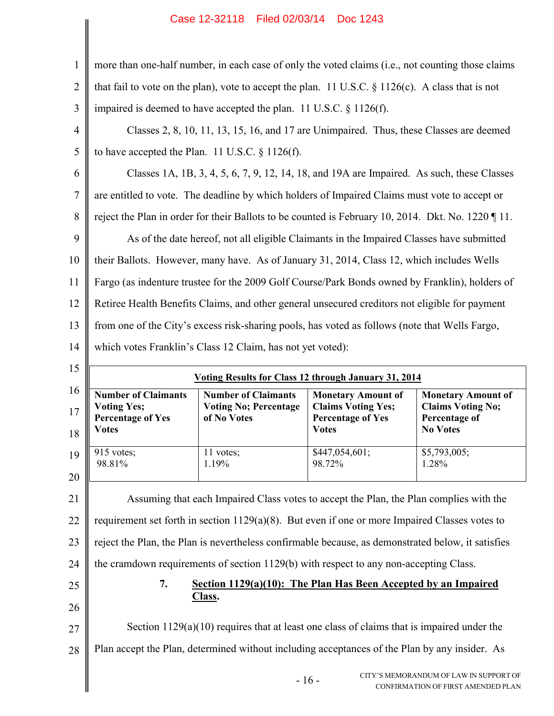1 2 3 more than one-half number, in each case of only the voted claims (i.e., not counting those claims that fail to vote on the plan), vote to accept the plan. 11 U.S.C. § 1126(c). A class that is not impaired is deemed to have accepted the plan. 11 U.S.C. § 1126(f).

4 5 Classes 2, 8, 10, 11, 13, 15, 16, and 17 are Unimpaired. Thus, these Classes are deemed to have accepted the Plan. 11 U.S.C. § 1126(f).

6 7 8 9 10 11 12 13 14 Classes 1A, 1B, 3, 4, 5, 6, 7, 9, 12, 14, 18, and 19A are Impaired. As such, these Classes are entitled to vote. The deadline by which holders of Impaired Claims must vote to accept or reject the Plan in order for their Ballots to be counted is February 10, 2014. Dkt. No. 1220 ¶ 11. As of the date hereof, not all eligible Claimants in the Impaired Classes have submitted their Ballots. However, many have. As of January 31, 2014, Class 12, which includes Wells Fargo (as indenture trustee for the 2009 Golf Course/Park Bonds owned by Franklin), holders of Retiree Health Benefits Claims, and other general unsecured creditors not eligible for payment from one of the City's excess risk-sharing pools, has voted as follows (note that Wells Fargo, which votes Franklin's Class 12 Claim, has not yet voted):

| 15       | <b>Voting Results for Class 12 through January 31, 2014</b>                     |                                                                           |                                                                                                    |                                                                                           |  |
|----------|---------------------------------------------------------------------------------|---------------------------------------------------------------------------|----------------------------------------------------------------------------------------------------|-------------------------------------------------------------------------------------------|--|
| 16<br>18 | <b>Number of Claimants</b><br><b>Voting Yes;<br/>Percentage of Yes</b><br>Votes | <b>Number of Claimants</b><br><b>Voting No; Percentage</b><br>of No Votes | <b>Monetary Amount of</b><br><b>Claims Voting Yes;</b><br><b>Percentage of Yes</b><br><b>Votes</b> | <b>Monetary Amount of</b><br><b>Claims Voting No;</b><br>Percentage of<br><b>No Votes</b> |  |
| 19<br>20 | $915$ votes;<br>98.81%                                                          | $1$ votes;<br>1.19%                                                       | \$447,054,601;<br>98.72%                                                                           | \$5,793,005;<br>1.28%                                                                     |  |

21 22 23 24 Assuming that each Impaired Class votes to accept the Plan, the Plan complies with the requirement set forth in section 1129(a)(8). But even if one or more Impaired Classes votes to reject the Plan, the Plan is nevertheless confirmable because, as demonstrated below, it satisfies the cramdown requirements of section 1129(b) with respect to any non-accepting Class.

25 26

## **7. Section 1129(a)(10): The Plan Has Been Accepted by an Impaired Class.**

27 28 Section  $1129(a)(10)$  requires that at least one class of claims that is impaired under the Plan accept the Plan, determined without including acceptances of the Plan by any insider. As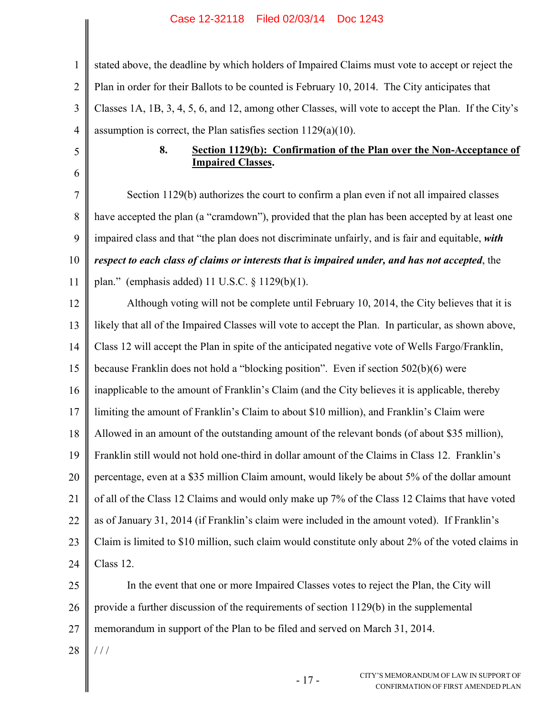| $\mathbf{1}$   | stated above, the deadline by which holders of Impaired Claims must vote to accept or reject the     |  |  |
|----------------|------------------------------------------------------------------------------------------------------|--|--|
| $\overline{2}$ | Plan in order for their Ballots to be counted is February 10, 2014. The City anticipates that        |  |  |
| $\mathfrak{Z}$ | Classes 1A, 1B, 3, 4, 5, 6, and 12, among other Classes, will vote to accept the Plan. If the City's |  |  |
| $\overline{4}$ | assumption is correct, the Plan satisfies section $1129(a)(10)$ .                                    |  |  |
| 5              | 8.<br>Section 1129(b): Confirmation of the Plan over the Non-Acceptance of                           |  |  |
| 6              | <b>Impaired Classes.</b>                                                                             |  |  |
| $\overline{7}$ | Section 1129(b) authorizes the court to confirm a plan even if not all impaired classes              |  |  |
| 8              | have accepted the plan (a "cramdown"), provided that the plan has been accepted by at least one      |  |  |
| 9              | impaired class and that "the plan does not discriminate unfairly, and is fair and equitable, with    |  |  |
| 10             | respect to each class of claims or interests that is impaired under, and has not accepted, the       |  |  |
| 11             | plan." (emphasis added) 11 U.S.C. $\S$ 1129(b)(1).                                                   |  |  |
| 12             | Although voting will not be complete until February 10, 2014, the City believes that it is           |  |  |
| 13             | likely that all of the Impaired Classes will vote to accept the Plan. In particular, as shown above, |  |  |
| 14             | Class 12 will accept the Plan in spite of the anticipated negative vote of Wells Fargo/Franklin,     |  |  |
| 15             | because Franklin does not hold a "blocking position". Even if section 502(b)(6) were                 |  |  |
| 16             | inapplicable to the amount of Franklin's Claim (and the City believes it is applicable, thereby      |  |  |
| 17             | limiting the amount of Franklin's Claim to about \$10 million), and Franklin's Claim were            |  |  |
| 18             | Allowed in an amount of the outstanding amount of the relevant bonds (of about \$35 million),        |  |  |
| 19             | Franklin still would not hold one-third in dollar amount of the Claims in Class 12. Franklin's       |  |  |
| 20             | percentage, even at a \$35 million Claim amount, would likely be about 5% of the dollar amount       |  |  |
| 21             | of all of the Class 12 Claims and would only make up 7% of the Class 12 Claims that have voted       |  |  |
| 22             | as of January 31, 2014 (if Franklin's claim were included in the amount voted). If Franklin's        |  |  |
| 23             | Claim is limited to \$10 million, such claim would constitute only about 2% of the voted claims in   |  |  |
| 24             | Class 12.                                                                                            |  |  |
| 25             | In the event that one or more Impaired Classes votes to reject the Plan, the City will               |  |  |
| 26             | provide a further discussion of the requirements of section 1129(b) in the supplemental              |  |  |
| 27             | memorandum in support of the Plan to be filed and served on March 31, 2014.                          |  |  |
| 28             | 111                                                                                                  |  |  |
|                | CITY'S MEMORANDUM OF LAW IN SUPPORT OF<br>$-17-$<br>CONFIRMATION OF FIRST AMENDED PLAN               |  |  |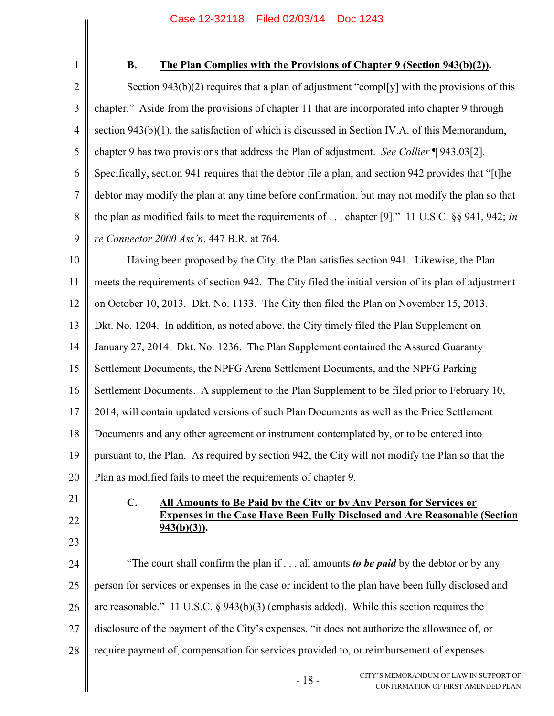1 2 3 4 5 6 7 8 9 10 **B. The Plan Complies with the Provisions of Chapter 9 (Section 943(b)(2)).** Section 943(b)(2) requires that a plan of adjustment "compl[y] with the provisions of this chapter." Aside from the provisions of chapter 11 that are incorporated into chapter 9 through section 943(b)(1), the satisfaction of which is discussed in Section IV.A. of this Memorandum, chapter 9 has two provisions that address the Plan of adjustment. *See Collier* ¶ 943.03[2]. Specifically, section 941 requires that the debtor file a plan, and section 942 provides that "[t]he debtor may modify the plan at any time before confirmation, but may not modify the plan so that the plan as modified fails to meet the requirements of . . . chapter [9]." 11 U.S.C. §§ 941, 942; *In re Connector 2000 Ass'n*, 447 B.R. at 764. Having been proposed by the City, the Plan satisfies section 941. Likewise, the Plan

11 12 13 14 15 16 17 18 19 20 meets the requirements of section 942. The City filed the initial version of its plan of adjustment on October 10, 2013. Dkt. No. 1133. The City then filed the Plan on November 15, 2013. Dkt. No. 1204. In addition, as noted above, the City timely filed the Plan Supplement on January 27, 2014. Dkt. No. 1236. The Plan Supplement contained the Assured Guaranty Settlement Documents, the NPFG Arena Settlement Documents, and the NPFG Parking Settlement Documents. A supplement to the Plan Supplement to be filed prior to February 10, 2014, will contain updated versions of such Plan Documents as well as the Price Settlement Documents and any other agreement or instrument contemplated by, or to be entered into pursuant to, the Plan. As required by section 942, the City will not modify the Plan so that the Plan as modified fails to meet the requirements of chapter 9.

- **C. All Amounts to Be Paid by the City or by Any Person for Services or Expenses in the Case Have Been Fully Disclosed and Are Reasonable (Section 943(b)(3)).**
- 23

21

22

24 25 26 27 28 "The court shall confirm the plan if . . . all amounts *to be paid* by the debtor or by any person for services or expenses in the case or incident to the plan have been fully disclosed and are reasonable." 11 U.S.C. § 943(b)(3) (emphasis added). While this section requires the disclosure of the payment of the City's expenses, "it does not authorize the allowance of, or require payment of, compensation for services provided to, or reimbursement of expenses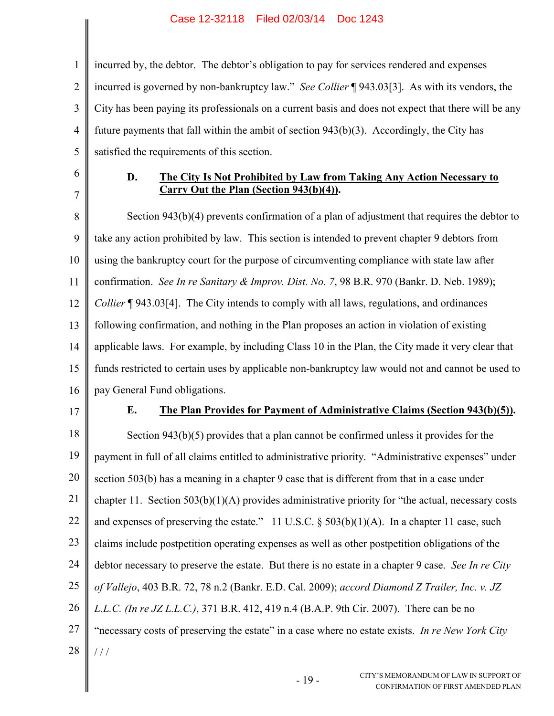2 3 4 5 incurred by, the debtor. The debtor's obligation to pay for services rendered and expenses incurred is governed by non-bankruptcy law." *See Collier* ¶ 943.03[3]. As with its vendors, the City has been paying its professionals on a current basis and does not expect that there will be any future payments that fall within the ambit of section 943(b)(3). Accordingly, the City has satisfied the requirements of this section.

6 7

1

### **D. The City Is Not Prohibited by Law from Taking Any Action Necessary to Carry Out the Plan (Section 943(b)(4)).**

8 9 10 11 12 13 14 15 16 Section 943(b)(4) prevents confirmation of a plan of adjustment that requires the debtor to take any action prohibited by law. This section is intended to prevent chapter 9 debtors from using the bankruptcy court for the purpose of circumventing compliance with state law after confirmation. *See In re Sanitary & Improv. Dist. No. 7*, 98 B.R. 970 (Bankr. D. Neb. 1989); *Collier* ¶ 943.03<sup>[4]</sup>. The City intends to comply with all laws, regulations, and ordinances following confirmation, and nothing in the Plan proposes an action in violation of existing applicable laws. For example, by including Class 10 in the Plan, the City made it very clear that funds restricted to certain uses by applicable non-bankruptcy law would not and cannot be used to pay General Fund obligations.

17

### **E. The Plan Provides for Payment of Administrative Claims (Section 943(b)(5)).**

18 19 20 21 22 23 24 25 26 27 28 Section 943(b)(5) provides that a plan cannot be confirmed unless it provides for the payment in full of all claims entitled to administrative priority. "Administrative expenses" under section 503(b) has a meaning in a chapter 9 case that is different from that in a case under chapter 11. Section 503(b)(1)(A) provides administrative priority for "the actual, necessary costs and expenses of preserving the estate." 11 U.S.C.  $\S$  503(b)(1)(A). In a chapter 11 case, such claims include postpetition operating expenses as well as other postpetition obligations of the debtor necessary to preserve the estate. But there is no estate in a chapter 9 case. *See In re City of Vallejo*, 403 B.R. 72, 78 n.2 (Bankr. E.D. Cal. 2009); *accord Diamond Z Trailer, Inc. v. JZ L.L.C. (In re JZ L.L.C.)*, 371 B.R. 412, 419 n.4 (B.A.P. 9th Cir. 2007). There can be no "necessary costs of preserving the estate" in a case where no estate exists. *In re New York City*   $1/1$ 

- 19 -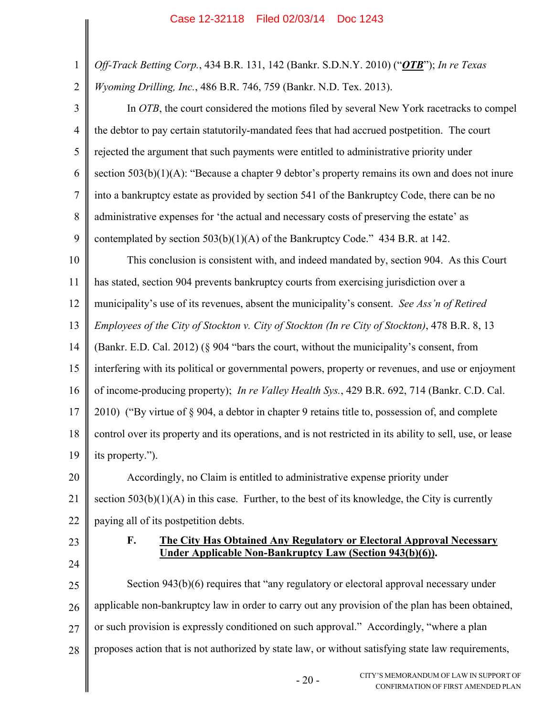- 1 *Off-Track Betting Corp.*, 434 B.R. 131, 142 (Bankr. S.D.N.Y. 2010) ("*OTB*"); *In re Texas*
- 2 *Wyoming Drilling, Inc.*, 486 B.R. 746, 759 (Bankr. N.D. Tex. 2013).

3 4 5 6 7 8 9 In *OTB*, the court considered the motions filed by several New York racetracks to compel the debtor to pay certain statutorily-mandated fees that had accrued postpetition. The court rejected the argument that such payments were entitled to administrative priority under section 503(b)(1)(A): "Because a chapter 9 debtor's property remains its own and does not inure into a bankruptcy estate as provided by section 541 of the Bankruptcy Code, there can be no administrative expenses for 'the actual and necessary costs of preserving the estate' as contemplated by section  $503(b)(1)(A)$  of the Bankruptcy Code." 434 B.R. at 142.

10 11 This conclusion is consistent with, and indeed mandated by, section 904. As this Court has stated, section 904 prevents bankruptcy courts from exercising jurisdiction over a

12 municipality's use of its revenues, absent the municipality's consent. *See Ass'n of Retired* 

13 *Employees of the City of Stockton v. City of Stockton (In re City of Stockton)*, 478 B.R. 8, 13

14 (Bankr. E.D. Cal. 2012) (§ 904 "bars the court, without the municipality's consent, from

15 interfering with its political or governmental powers, property or revenues, and use or enjoyment

16 of income-producing property); *In re Valley Health Sys.*, 429 B.R. 692, 714 (Bankr. C.D. Cal.

17 2010) ("By virtue of § 904, a debtor in chapter 9 retains title to, possession of, and complete

18 19 control over its property and its operations, and is not restricted in its ability to sell, use, or lease its property.").

20 21 22 Accordingly, no Claim is entitled to administrative expense priority under section 503(b)(1)(A) in this case. Further, to the best of its knowledge, the City is currently paying all of its postpetition debts.

23 24

### **F. The City Has Obtained Any Regulatory or Electoral Approval Necessary Under Applicable Non-Bankruptcy Law (Section 943(b)(6)).**

25 26 27 28 Section 943(b)(6) requires that "any regulatory or electoral approval necessary under applicable non-bankruptcy law in order to carry out any provision of the plan has been obtained, or such provision is expressly conditioned on such approval." Accordingly, "where a plan proposes action that is not authorized by state law, or without satisfying state law requirements,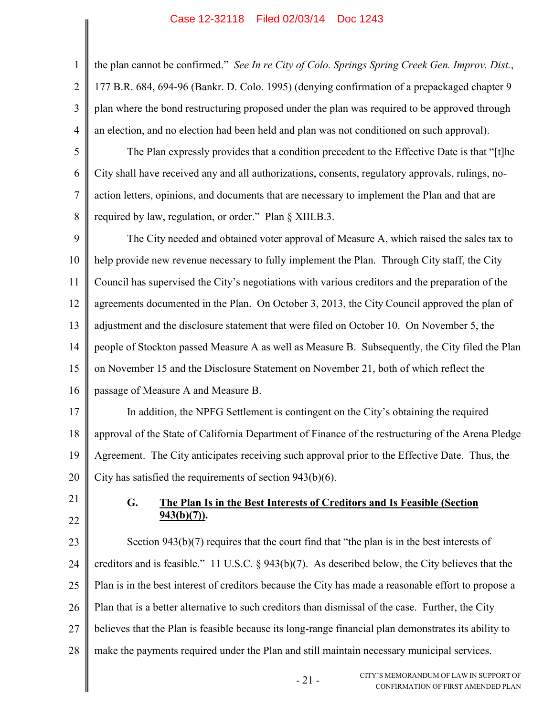2 3 4 the plan cannot be confirmed." *See In re City of Colo. Springs Spring Creek Gen. Improv. Dist.*, 177 B.R. 684, 694-96 (Bankr. D. Colo. 1995) (denying confirmation of a prepackaged chapter 9 plan where the bond restructuring proposed under the plan was required to be approved through an election, and no election had been held and plan was not conditioned on such approval).

5 6 7 8 The Plan expressly provides that a condition precedent to the Effective Date is that "[t]he City shall have received any and all authorizations, consents, regulatory approvals, rulings, noaction letters, opinions, and documents that are necessary to implement the Plan and that are required by law, regulation, or order." Plan § XIII.B.3.

9 10 11 12 13 14 15 16 The City needed and obtained voter approval of Measure A, which raised the sales tax to help provide new revenue necessary to fully implement the Plan. Through City staff, the City Council has supervised the City's negotiations with various creditors and the preparation of the agreements documented in the Plan. On October 3, 2013, the City Council approved the plan of adjustment and the disclosure statement that were filed on October 10. On November 5, the people of Stockton passed Measure A as well as Measure B. Subsequently, the City filed the Plan on November 15 and the Disclosure Statement on November 21, both of which reflect the passage of Measure A and Measure B.

17 18 19 20 In addition, the NPFG Settlement is contingent on the City's obtaining the required approval of the State of California Department of Finance of the restructuring of the Arena Pledge Agreement. The City anticipates receiving such approval prior to the Effective Date. Thus, the City has satisfied the requirements of section 943(b)(6).

21 22

1

### **G. The Plan Is in the Best Interests of Creditors and Is Feasible (Section 943(b)(7)).**

23 24 25 26 27 28 Section 943(b)(7) requires that the court find that "the plan is in the best interests of creditors and is feasible." 11 U.S.C. § 943(b)(7). As described below, the City believes that the Plan is in the best interest of creditors because the City has made a reasonable effort to propose a Plan that is a better alternative to such creditors than dismissal of the case. Further, the City believes that the Plan is feasible because its long-range financial plan demonstrates its ability to make the payments required under the Plan and still maintain necessary municipal services.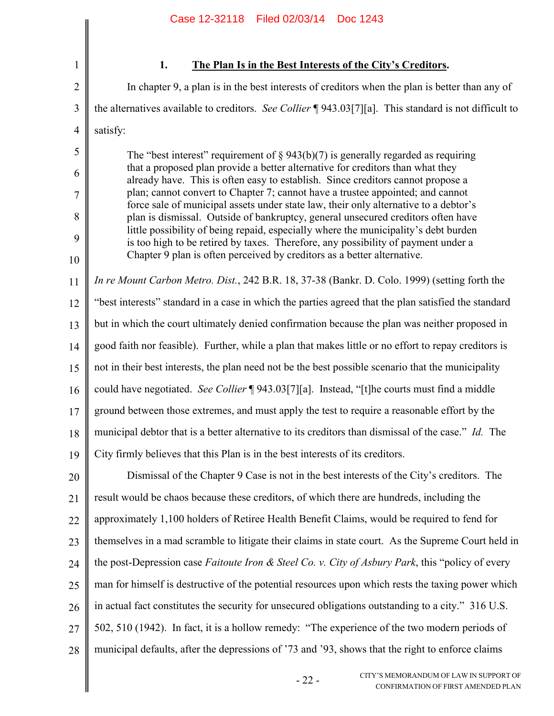2

3

5

6

7

8

9

10

## **1. The Plan Is in the Best Interests of the City's Creditors.**

4 In chapter 9, a plan is in the best interests of creditors when the plan is better than any of the alternatives available to creditors. *See Collier* ¶ 943.03[7][a]. This standard is not difficult to satisfy:

The "best interest" requirement of  $\S 943(b)(7)$  is generally regarded as requiring that a proposed plan provide a better alternative for creditors than what they already have. This is often easy to establish. Since creditors cannot propose a plan; cannot convert to Chapter 7; cannot have a trustee appointed; and cannot force sale of municipal assets under state law, their only alternative to a debtor's plan is dismissal. Outside of bankruptcy, general unsecured creditors often have little possibility of being repaid, especially where the municipality's debt burden is too high to be retired by taxes. Therefore, any possibility of payment under a Chapter 9 plan is often perceived by creditors as a better alternative.

11 12 13 14 15 16 17 18 19 *In re Mount Carbon Metro. Dist.*, 242 B.R. 18, 37-38 (Bankr. D. Colo. 1999) (setting forth the "best interests" standard in a case in which the parties agreed that the plan satisfied the standard but in which the court ultimately denied confirmation because the plan was neither proposed in good faith nor feasible). Further, while a plan that makes little or no effort to repay creditors is not in their best interests, the plan need not be the best possible scenario that the municipality could have negotiated. *See Collier* ¶ 943.03[7][a]. Instead, "[t]he courts must find a middle ground between those extremes, and must apply the test to require a reasonable effort by the municipal debtor that is a better alternative to its creditors than dismissal of the case." *Id.* The City firmly believes that this Plan is in the best interests of its creditors.

20 21 22 23 24 25 26 27 28 Dismissal of the Chapter 9 Case is not in the best interests of the City's creditors. The result would be chaos because these creditors, of which there are hundreds, including the approximately 1,100 holders of Retiree Health Benefit Claims, would be required to fend for themselves in a mad scramble to litigate their claims in state court. As the Supreme Court held in the post-Depression case *Faitoute Iron & Steel Co. v. City of Asbury Park*, this "policy of every man for himself is destructive of the potential resources upon which rests the taxing power which in actual fact constitutes the security for unsecured obligations outstanding to a city." 316 U.S. 502, 510 (1942). In fact, it is a hollow remedy: "The experience of the two modern periods of municipal defaults, after the depressions of '73 and '93, shows that the right to enforce claims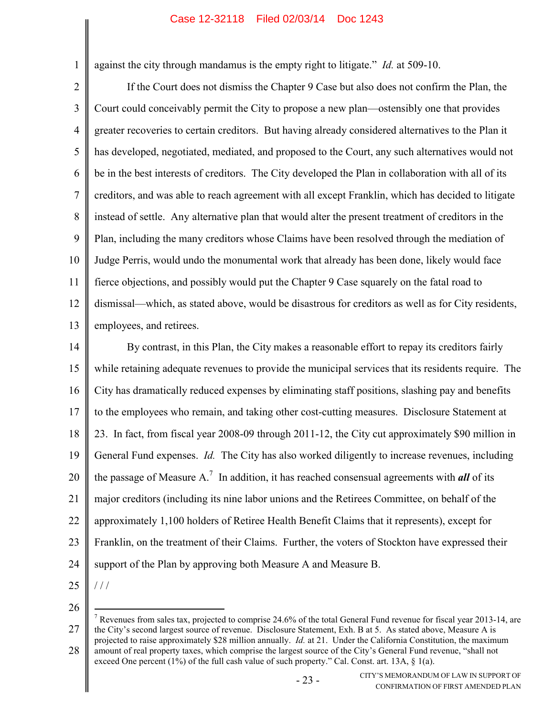against the city through mandamus is the empty right to litigate." *Id.* at 509-10.

2 3 4 5 6 7 8 9 10 11 12 13 If the Court does not dismiss the Chapter 9 Case but also does not confirm the Plan, the Court could conceivably permit the City to propose a new plan—ostensibly one that provides greater recoveries to certain creditors. But having already considered alternatives to the Plan it has developed, negotiated, mediated, and proposed to the Court, any such alternatives would not be in the best interests of creditors. The City developed the Plan in collaboration with all of its creditors, and was able to reach agreement with all except Franklin, which has decided to litigate instead of settle. Any alternative plan that would alter the present treatment of creditors in the Plan, including the many creditors whose Claims have been resolved through the mediation of Judge Perris, would undo the monumental work that already has been done, likely would face fierce objections, and possibly would put the Chapter 9 Case squarely on the fatal road to dismissal—which, as stated above, would be disastrous for creditors as well as for City residents, employees, and retirees.

14 15 16 17 18 19 20 21 22 23 24 By contrast, in this Plan, the City makes a reasonable effort to repay its creditors fairly while retaining adequate revenues to provide the municipal services that its residents require. The City has dramatically reduced expenses by eliminating staff positions, slashing pay and benefits to the employees who remain, and taking other cost-cutting measures. Disclosure Statement at 23. In fact, from fiscal year 2008-09 through 2011-12, the City cut approximately \$90 million in General Fund expenses. *Id.* The City has also worked diligently to increase revenues, including the passage of Measure A.<sup>7</sup> In addition, it has reached consensual agreements with *all* of its major creditors (including its nine labor unions and the Retirees Committee, on behalf of the approximately 1,100 holders of Retiree Health Benefit Claims that it represents), except for Franklin, on the treatment of their Claims. Further, the voters of Stockton have expressed their support of the Plan by approving both Measure A and Measure B.

25

/ / /

 $\overline{a}$ 

1

<sup>27</sup> 28 <sup>7</sup> Revenues from sales tax, projected to comprise 24.6% of the total General Fund revenue for fiscal year 2013-14, are the City's second largest source of revenue. Disclosure Statement, Exh. B at 5. As stated above, Measure A is projected to raise approximately \$28 million annually. *Id.* at 21. Under the California Constitution, the maximum amount of real property taxes, which comprise the largest source of the City's General Fund revenue, "shall not exceed One percent  $(1\%)$  of the full cash value of such property." Cal. Const. art. 13A, § 1(a).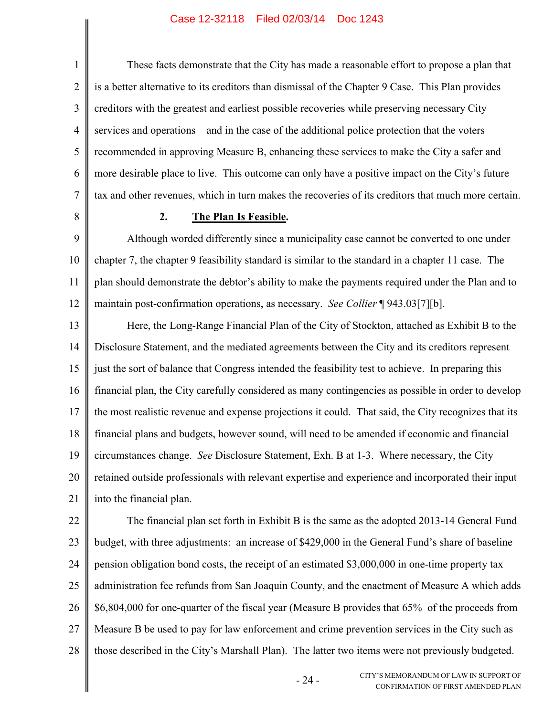1 2 3 4 5 6 7 These facts demonstrate that the City has made a reasonable effort to propose a plan that is a better alternative to its creditors than dismissal of the Chapter 9 Case. This Plan provides creditors with the greatest and earliest possible recoveries while preserving necessary City services and operations—and in the case of the additional police protection that the voters recommended in approving Measure B, enhancing these services to make the City a safer and more desirable place to live. This outcome can only have a positive impact on the City's future tax and other revenues, which in turn makes the recoveries of its creditors that much more certain.

8

### **2. The Plan Is Feasible.**

9 10 11 12 Although worded differently since a municipality case cannot be converted to one under chapter 7, the chapter 9 feasibility standard is similar to the standard in a chapter 11 case. The plan should demonstrate the debtor's ability to make the payments required under the Plan and to maintain post-confirmation operations, as necessary. *See Collier* ¶ 943.03[7][b].

13 14 15 16 17 18 19 20 21 Here, the Long-Range Financial Plan of the City of Stockton, attached as Exhibit B to the Disclosure Statement, and the mediated agreements between the City and its creditors represent just the sort of balance that Congress intended the feasibility test to achieve. In preparing this financial plan, the City carefully considered as many contingencies as possible in order to develop the most realistic revenue and expense projections it could. That said, the City recognizes that its financial plans and budgets, however sound, will need to be amended if economic and financial circumstances change. *See* Disclosure Statement, Exh. B at 1-3. Where necessary, the City retained outside professionals with relevant expertise and experience and incorporated their input into the financial plan.

22 23 24 25 26 27 28 The financial plan set forth in Exhibit B is the same as the adopted 2013-14 General Fund budget, with three adjustments: an increase of \$429,000 in the General Fund's share of baseline pension obligation bond costs, the receipt of an estimated \$3,000,000 in one-time property tax administration fee refunds from San Joaquin County, and the enactment of Measure A which adds \$6,804,000 for one-quarter of the fiscal year (Measure B provides that 65% of the proceeds from Measure B be used to pay for law enforcement and crime prevention services in the City such as those described in the City's Marshall Plan). The latter two items were not previously budgeted.

- 24 -